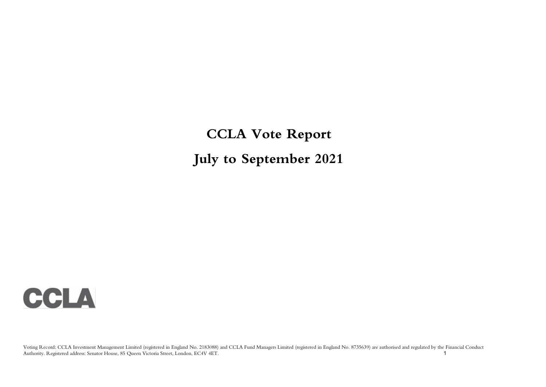**CCLA Vote Report July to September 2021**

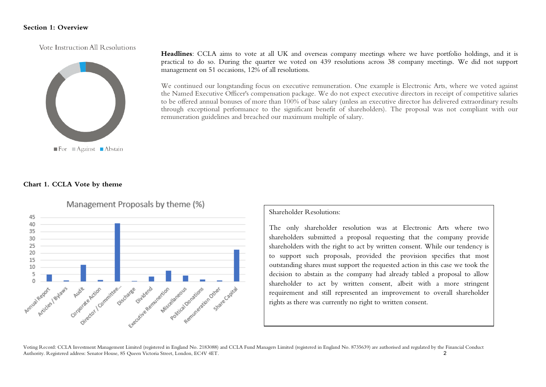#### **Section 1: Overview**

Vote Instruction All Resolutions



**Headlines**: CCLA aims to vote at all UK and overseas company meetings where we have portfolio holdings, and it is practical to do so. During the quarter we voted on 439 resolutions across 38 company meetings. We did not support management on 51 occasions, 12% of all resolutions.

We continued our longstanding focus on executive remuneration. One example is Electronic Arts, where we voted against the Named Executive Officer's compensation package. We do not expect executive directors in receipt of competitive salaries to be offered annual bonuses of more than 100% of base salary (unless an executive director has delivered extraordinary results through exceptional performance to the significant benefit of shareholders). The proposal was not compliant with our remuneration guidelines and breached our maximum multiple of salary.

#### **Chart 1. CCLA Vote by theme**



Management Proposals by theme (%)

Shareholder Resolutions:

The only shareholder resolution was at Electronic Arts where two shareholders submitted a proposal requesting that the company provide shareholders with the right to act by written consent. While our tendency is to support such proposals, provided the provision specifies that most outstanding shares must support the requested action in this case we took the decision to abstain as the company had already tabled a proposal to allow shareholder to act by written consent, albeit with a more stringent requirement and still represented an improvement to overall shareholder rights as there was currently no right to written consent.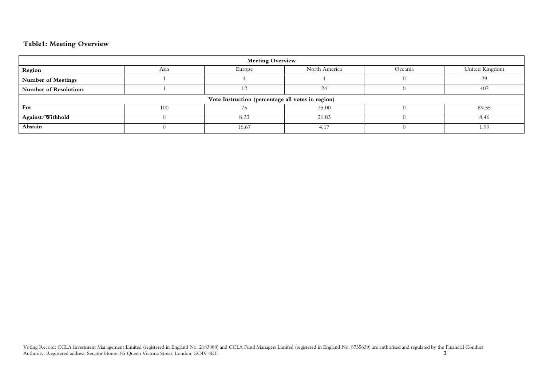### **Table1: Meeting Overview**

| <b>Meeting Overview</b>      |                                                              |                                                   |       |  |       |  |  |  |  |  |
|------------------------------|--------------------------------------------------------------|---------------------------------------------------|-------|--|-------|--|--|--|--|--|
| Region                       | United Kingdom<br>North America<br>Asia<br>Oceania<br>Europe |                                                   |       |  |       |  |  |  |  |  |
| <b>Number of Meetings</b>    |                                                              |                                                   |       |  | 29    |  |  |  |  |  |
| <b>Number of Resolutions</b> |                                                              |                                                   | 24    |  | 402   |  |  |  |  |  |
|                              |                                                              | Vote Instruction (percentage all votes in region) |       |  |       |  |  |  |  |  |
| For                          | 100                                                          |                                                   | 75.00 |  | 89.55 |  |  |  |  |  |
| Against/Withhold             |                                                              | 8.33                                              | 20.83 |  | 8.46  |  |  |  |  |  |
| Abstain                      |                                                              | 16.67                                             | 4.17  |  | 1.99  |  |  |  |  |  |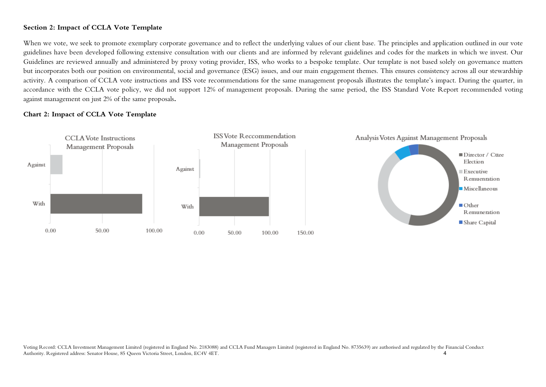### **Section 2: Impact of CCLA Vote Template**

When we vote, we seek to promote exemplary corporate governance and to reflect the underlying values of our client base. The principles and application outlined in our vote guidelines have been developed following extensive consultation with our clients and are informed by relevant guidelines and codes for the markets in which we invest. Our Guidelines are reviewed annually and administered by proxy voting provider, ISS, who works to a bespoke template. Our template is not based solely on governance matters but incorporates both our position on environmental, social and governance (ESG) issues, and our main engagement themes. This ensures consistency across all our stewardship activity. A comparison of CCLA vote instructions and ISS vote recommendations for the same management proposals illustrates the template's impact. During the quarter, in accordance with the CCLA vote policy, we did not support 12% of management proposals. During the same period, the ISS Standard Vote Report recommended voting against management on just 2% of the same proposals**.**

#### **Chart 2: Impact of CCLA Vote Template**

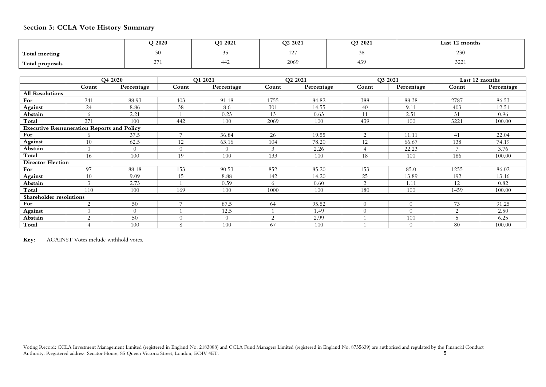# S**ection 3: CCLA Vote History Summary**

|                 | Q 2020     | Q1 2021 | O <sub>2</sub> 2021             | Q3 2021    | Last 12 months |
|-----------------|------------|---------|---------------------------------|------------|----------------|
| Total meeting   |            | -5      | ר הו<br>$\mathbf{1} \leftarrow$ | .          | 29U            |
| Total proposals | <u>.</u> , | 442     | 2069                            | $43^\circ$ | いつつ<br>المكاف  |

|                          |                                                  | O <sub>4</sub> 2020 |          | O1 2021    |          | O <sub>2</sub> 2021 |          | O3 2021        |                | Last 12 months |
|--------------------------|--------------------------------------------------|---------------------|----------|------------|----------|---------------------|----------|----------------|----------------|----------------|
|                          | Count                                            | Percentage          | Count    | Percentage | Count    | Percentage          | Count    | Percentage     | Count          | Percentage     |
| <b>All Resolutions</b>   |                                                  |                     |          |            |          |                     |          |                |                |                |
| For                      | 241                                              | 88.93               | 403      | 91.18      | 1755     | 84.82               | 388      | 88.38          | 2787           | 86.53          |
| <b>Against</b>           | 24                                               | 8.86                | 38       | 8.6        | 301      | 14.55               | 40       | 9.11           | 403            | 12.51          |
| Abstain                  | 6                                                | 2.21                |          | 0.23       | 13       | 0.63                | 11       | 2.51           | 31             | 0.96           |
| Total                    | 271                                              | 100                 | 442      | 100        | 2069     | 100                 | 439      | 100            | 3221           | 100.00         |
|                          | <b>Executive Remuneration Reports and Policy</b> |                     |          |            |          |                     |          |                |                |                |
| For                      | 6                                                | 37.5                |          | 36.84      | 26       | 19.55               | ◠        | 11.11          | 41             | 22.04          |
| Against                  | 10                                               | 62.5                | 12       | 63.16      | 104      | 78.20               | 12       | 66.67          | 138            | 74.19          |
| Abstain                  | $\theta$                                         | $\Omega$            | $\Omega$ | $\Omega$   | 3        | 2.26                |          | 22.23          | $\overline{ }$ | 3.76           |
| Total                    | 16                                               | 100                 | 19       | 100        | 133      | 100                 | 18       | 100            | 186            | 100.00         |
| <b>Director Election</b> |                                                  |                     |          |            |          |                     |          |                |                |                |
| For                      | 97                                               | 88.18               | 153      | 90.53      | 852      | 85.20               | 153      | 85.0           | 1255           | 86.02          |
| Against                  | 10                                               | 9.09                | 15       | 8.88       | 142      | 14.20               | 25       | 13.89          | 192            | 13.16          |
| Abstain                  | $\mathcal{Z}$                                    | 2.73                |          | 0.59       | 6        | 0.60                | $\Omega$ | 1.11           | 12             | 0.82           |
| Total                    | 110                                              | 100                 | 169      | 100        | 1000     | 100                 | 180      | 100            | 1459           | 100.00         |
| Shareholder resolutions  |                                                  |                     |          |            |          |                     |          |                |                |                |
| For                      | 2                                                | 50                  |          | 87.5       | 64       | 95.52               | $\Omega$ | $\Omega$       | 73             | 91.25          |
| Against                  | $\Omega$                                         | $\Omega$            |          | 12.5       |          | 1.49                |          | $\Omega$       | 2              | 2.50           |
| Abstain                  | $\overline{2}$                                   | 50                  | $\Omega$ | $\Omega$   | $\Omega$ | 2.99                |          | 100            | 5              | 6.25           |
| Total                    |                                                  | 100                 | 8        | 100        | 67       | 100                 |          | $\overline{0}$ | 80             | 100.00         |

**Key:** AGAINST Votes include withhold votes.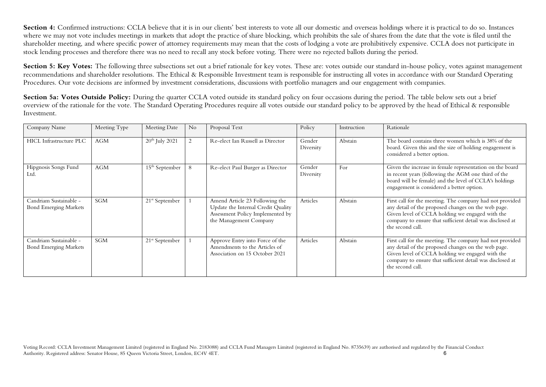**Section 4:** Confirmed instructions: CCLA believe that it is in our clients' best interests to vote all our domestic and overseas holdings where it is practical to do so. Instances where we may not vote includes meetings in markets that adopt the practice of share blocking, which prohibits the sale of shares from the date that the vote is filed until the shareholder meeting, and where specific power of attorney requirements may mean that the costs of lodging a vote are prohibitively expensive. CCLA does not participate in stock lending processes and therefore there was no need to recall any stock before voting. There were no rejected ballots during the period.

Section 5: Key Votes: The following three subsections set out a brief rationale for key votes. These are: votes outside our standard in-house policy, votes against management recommendations and shareholder resolutions. The Ethical & Responsible Investment team is responsible for instructing all votes in accordance with our Standard Operating Procedures. Our vote decisions are informed by investment considerations, discussions with portfolio managers and our engagement with companies.

Section 5a: Votes Outside Policy: During the quarter CCLA voted outside its standard policy on four occasions during the period. The table below sets out a brief overview of the rationale for the vote. The Standard Operating Procedures require all votes outside our standard policy to be approved by the head of Ethical & responsible Investment.

| Company Name                                           | Meeting Type | Meeting Date               | No | Proposal Text                                                                                                                      | Policy              | Instruction | Rationale                                                                                                                                                                                                                                           |
|--------------------------------------------------------|--------------|----------------------------|----|------------------------------------------------------------------------------------------------------------------------------------|---------------------|-------------|-----------------------------------------------------------------------------------------------------------------------------------------------------------------------------------------------------------------------------------------------------|
| HICL Infrastructure PLC                                | <b>AGM</b>   | $20th$ July 2021           |    | Re-elect Ian Russell as Director                                                                                                   | Gender<br>Diversity | Abstain     | The board contains three women which is 38% of the<br>board. Given this and the size of holding engagement is<br>considered a better option.                                                                                                        |
| Hipgnosis Songs Fund<br>Ltd.                           | <b>AGM</b>   | $15th$ September           |    | Re-elect Paul Burger as Director                                                                                                   | Gender<br>Diversity | For         | Given the increase in female representation on the board<br>in recent years (following the AGM one third of the<br>board will be female) and the level of CCLA's holdings<br>engagement is considered a better option.                              |
| Candriam Sustainable -<br><b>Bond Emerging Markets</b> | <b>SGM</b>   | 21 <sup>st</sup> September |    | Amend Article 23 Following the<br>Update the Internal Credit Quality<br>Assessment Policy Implemented by<br>the Management Company | Articles            | Abstain     | First call for the meeting. The company had not provided<br>any detail of the proposed changes on the web page.<br>Given level of CCLA holding we engaged with the<br>company to ensure that sufficient detail was disclosed at<br>the second call. |
| Candriam Sustainable -<br><b>Bond Emerging Markets</b> | <b>SGM</b>   | $21st$ September           |    | Approve Entry into Force of the<br>Amendments to the Articles of<br>Association on 15 October 2021                                 | Articles            | Abstain     | First call for the meeting. The company had not provided<br>any detail of the proposed changes on the web page.<br>Given level of CCLA holding we engaged with the<br>company to ensure that sufficient detail was disclosed at<br>the second call. |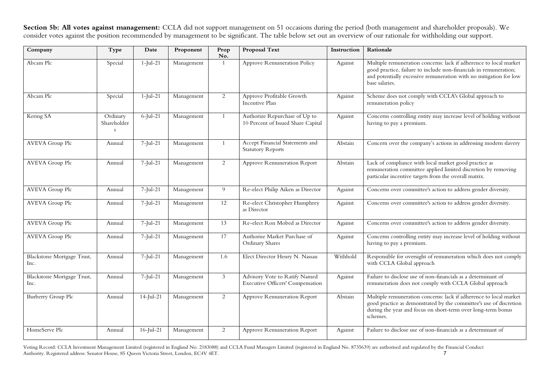**Section 5b: All votes against management:** CCLA did not support management on 51 occasions during the period (both management and shareholder proposals). We consider votes against the position recommended by management to be significant. The table below set out an overview of our rationale for withholding our support.

| Company                            | Type                         | Date         | Proponent  | Prop<br>No.    | Proposal Text                                                            | Instruction | Rationale                                                                                                                                                                                                                     |
|------------------------------------|------------------------------|--------------|------------|----------------|--------------------------------------------------------------------------|-------------|-------------------------------------------------------------------------------------------------------------------------------------------------------------------------------------------------------------------------------|
| Abcam Plc                          | Special                      | $1$ -Jul-21  | Management | 1              | Approve Remuneration Policy                                              | Against     | Multiple remuneration concerns: lack if adherence to local market<br>good practice, failure to include non-financials in remuneration;<br>and potentially excessive remuneration with no mitigation for low<br>base salaries. |
| Abcam Plc                          | Special                      | $1$ -Jul-21  | Management | $\overline{2}$ | Approve Profitable Growth<br>Incentive Plan                              | Against     | Scheme does not comply with CCLA's Global approach to<br>remuneration policy                                                                                                                                                  |
| Kering SA                          | Ordinary<br>Shareholder<br>S | $6$ -Jul-21  | Management | $\overline{1}$ | Authorize Repurchase of Up to<br>10 Percent of Issued Share Capital      | Against     | Concerns controlling entity may increase level of holding without<br>having to pay a premium.                                                                                                                                 |
| <b>AVEVA Group Plc</b>             | Annual                       | $7$ -Jul-21  | Management | $\overline{1}$ | Accept Financial Statements and<br><b>Statutory Reports</b>              | Abstain     | Concern over the company's actions in addressing modern slavery                                                                                                                                                               |
| <b>AVEVA Group Plc</b>             | Annual                       | $7$ -Jul-21  | Management | 2              | Approve Remuneration Report                                              | Abstain     | Lack of compliance with local market good practice as<br>remuneration committee applied limited discretion by removing<br>particular incentive targets from the overall matrix.                                               |
| <b>AVEVA Group Plc</b>             | Annual                       | $7$ -Jul-21  | Management | 9              | Re-elect Philip Aiken as Director                                        | Against     | Concerns over committee's action to address gender diversity.                                                                                                                                                                 |
| <b>AVEVA Group Plc</b>             | Annual                       | 7-Jul-21     | Management | 12             | Re-elect Christopher Humphrey<br>as Director                             | Against     | Concerns over committee's action to address gender diversity.                                                                                                                                                                 |
| <b>AVEVA Group Plc</b>             | Annual                       | $7$ -Jul-21  | Management | 13             | Re-elect Ron Mobed as Director                                           | Against     | Concerns over committee's action to address gender diversity.                                                                                                                                                                 |
| <b>AVEVA Group Plc</b>             | Annual                       | $7$ -Jul-21  | Management | 17             | Authorise Market Purchase of<br><b>Ordinary Shares</b>                   | Against     | Concerns controlling entity may increase level of holding without<br>having to pay a premium.                                                                                                                                 |
| Blackstone Mortgage Trust,<br>Inc. | Annual                       | $7$ -Jul-21  | Management | 1.6            | Elect Director Henry N. Nassau                                           | Withhold    | Responsible for oversight of remuneration which does not comply<br>with CCLA Global approach                                                                                                                                  |
| Blackstone Mortgage Trust,<br>Inc. | Annual                       | $7$ -Jul-21  | Management | 3              | Advisory Vote to Ratify Named<br><b>Executive Officers' Compensation</b> | Against     | Failure to disclose use of non-financials as a determinant of<br>remuneration does not comply with CCLA Global approach                                                                                                       |
| Burberry Group Plc                 | Annual                       | $14$ -Jul-21 | Management | 2              | Approve Remuneration Report                                              | Abstain     | Multiple remuneration concerns: lack if adherence to local market<br>good practice as demonstrated by the committee's use of discretion<br>during the year and focus on short-term over long-term bonus<br>schemes.           |
| HomeServe Plc                      | Annual                       | $16$ -Jul-21 | Management | 2              | Approve Remuneration Report                                              | Against     | Failure to disclose use of non-financials as a determinant of                                                                                                                                                                 |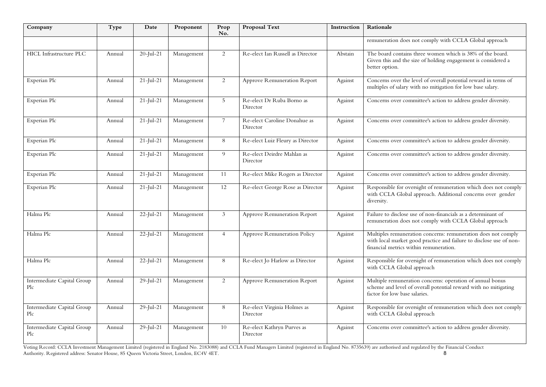| Company                           | Type   | Date          | Proponent  | Prop<br>No.    | <b>Proposal Text</b>                     | Instruction | Rationale                                                                                                                                                                      |
|-----------------------------------|--------|---------------|------------|----------------|------------------------------------------|-------------|--------------------------------------------------------------------------------------------------------------------------------------------------------------------------------|
|                                   |        |               |            |                |                                          |             | remuneration does not comply with CCLA Global approach                                                                                                                         |
| <b>HICL Infrastructure PLC</b>    | Annual | $20$ -Jul-21  | Management | 2              | Re-elect Ian Russell as Director         | Abstain     | The board contains three women which is 38% of the board.<br>Given this and the size of holding engagement is considered a<br>better option.                                   |
| Experian Plc                      | Annual | $21$ -Jul-21  | Management | 2              | Approve Remuneration Report              | Against     | Concerns over the level of overall potential reward in terms of<br>multiples of salary with no mitigation for low base salary.                                                 |
| Experian Plc                      | Annual | $21 -$ Jul-21 | Management | 5              | Re-elect Dr Ruba Borno as<br>Director    | Against     | Concerns over committee's action to address gender diversity.                                                                                                                  |
| Experian Plc                      | Annual | $21$ -Jul-21  | Management | $\overline{7}$ | Re-elect Caroline Donahue as<br>Director | Against     | Concerns over committee's action to address gender diversity.                                                                                                                  |
| Experian Plc                      | Annual | $21$ -Jul-21  | Management | 8              | Re-elect Luiz Fleury as Director         | Against     | Concerns over committee's action to address gender diversity.                                                                                                                  |
| Experian Plc                      | Annual | $21$ -Jul-21  | Management | 9              | Re-elect Deirdre Mahlan as<br>Director   | Against     | Concerns over committee's action to address gender diversity.                                                                                                                  |
| Experian Plc                      | Annual | $21$ -Jul-21  | Management | 11             | Re-elect Mike Rogers as Director         | Against     | Concerns over committee's action to address gender diversity.                                                                                                                  |
| Experian Plc                      | Annual | $21$ -Jul-21  | Management | 12             | Re-elect George Rose as Director         | Against     | Responsible for oversight of remuneration which does not comply<br>with CCLA Global approach. Additional concerns over gender<br>diversity.                                    |
| Halma Plc                         | Annual | $22$ -Jul-21  | Management | 3              | Approve Remuneration Report              | Against     | Failure to disclose use of non-financials as a determinant of<br>remuneration does not comply with CCLA Global approach                                                        |
| Halma Plc                         | Annual | $22$ -Jul-21  | Management | $\overline{4}$ | Approve Remuneration Policy              | Against     | Multiples remuneration concerns: remuneration does not comply<br>with local market good practice and failure to disclose use of non-<br>financial metrics within remuneration. |
| Halma Plc                         | Annual | $22$ -Jul-21  | Management | $\,8\,$        | Re-elect Jo Harlow as Director           | Against     | Responsible for oversight of remuneration which does not comply<br>with CCLA Global approach                                                                                   |
| Intermediate Capital Group<br>Plc | Annual | $29$ -Jul-21  | Management | $\overline{c}$ | Approve Remuneration Report              | Against     | Multiple remuneration concerns: operation of annual bonus<br>scheme and level of overall potential reward with no mitigating<br>factor for low base salaries.                  |
| Intermediate Capital Group<br>Plc | Annual | $29$ -Jul-21  | Management | 8              | Re-elect Virginia Holmes as<br>Director  | Against     | Responsible for oversight of remuneration which does not comply<br>with CCLA Global approach                                                                                   |
| Intermediate Capital Group<br>Plc | Annual | $29$ -Jul-21  | Management | 10             | Re-elect Kathryn Purves as<br>Director   | Against     | Concerns over committee's action to address gender diversity.                                                                                                                  |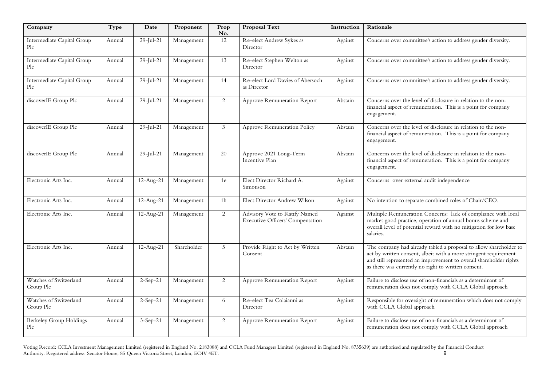| Company                               | Type   | Date                    | Proponent   | Prop<br>No.    | <b>Proposal Text</b>                                                     | Instruction | Rationale                                                                                                                                                                                                                                                          |
|---------------------------------------|--------|-------------------------|-------------|----------------|--------------------------------------------------------------------------|-------------|--------------------------------------------------------------------------------------------------------------------------------------------------------------------------------------------------------------------------------------------------------------------|
| Intermediate Capital Group<br>Plc     | Annual | $29$ -Jul-21            | Management  | 12             | Re-elect Andrew Sykes as<br>Director                                     | Against     | Concerns over committee's action to address gender diversity.                                                                                                                                                                                                      |
| Intermediate Capital Group<br>Plc     | Annual | $29$ -Jul-21            | Management  | 13             | Re-elect Stephen Welton as<br>Director                                   | Against     | Concerns over committee's action to address gender diversity.                                                                                                                                                                                                      |
| Intermediate Capital Group<br>Plc     | Annual | $29$ -Jul-21            | Management  | 14             | Re-elect Lord Davies of Abersoch<br>as Director                          | Against     | Concerns over committee's action to address gender diversity.                                                                                                                                                                                                      |
| discoverIE Group Plc                  | Annual | $29$ -Jul-21            | Management  | 2              | Approve Remuneration Report                                              | Abstain     | Concerns over the level of disclosure in relation to the non-<br>financial aspect of remuneration. This is a point for company<br>engagement.                                                                                                                      |
| discoverIE Group Plc                  | Annual | $29$ -Jul-21            | Management  | 3              | Approve Remuneration Policy                                              | Abstain     | Concerns over the level of disclosure in relation to the non-<br>financial aspect of remuneration. This is a point for company<br>engagement.                                                                                                                      |
| discoverIE Group Plc                  | Annual | $29$ -Jul-21            | Management  | 20             | Approve 2021 Long-Term<br>Incentive Plan                                 | Abstain     | Concerns over the level of disclosure in relation to the non-<br>financial aspect of remuneration. This is a point for company<br>engagement.                                                                                                                      |
| Electronic Arts Inc.                  | Annual | $\overline{12}$ -Aug-21 | Management  | 1e             | Elect Director Richard A.<br>Simonson                                    | Against     | Concerns over external audit independence                                                                                                                                                                                                                          |
| Electronic Arts Inc.                  | Annual | $12-Aug-21$             | Management  | 1 <sub>h</sub> | Elect Director Andrew Wilson                                             | Against     | No intention to separate combined roles of Chair/CEO.                                                                                                                                                                                                              |
| Electronic Arts Inc.                  | Annual | $\overline{12}$ -Aug-21 | Management  | 2              | Advisory Vote to Ratify Named<br><b>Executive Officers' Compensation</b> | Against     | Multiple Remuneration Concerns: lack of compliance with local<br>market good practice, operation of annual bonus scheme and<br>overall level of potential reward with no mitigation for low base<br>salaries.                                                      |
| Electronic Arts Inc.                  | Annual | 12-Aug-21               | Shareholder | 5              | Provide Right to Act by Written<br>Consent                               | Abstain     | The company had already tabled a proposal to allow shareholder to<br>act by written consent, albeit with a more stringent requirement<br>and still represented an improvement to overall shareholder rights<br>as there was currently no right to written consent. |
| Watches of Switzerland<br>Group Plc   | Annual | $2-Sep-21$              | Management  | 2              | Approve Remuneration Report                                              | Against     | Failure to disclose use of non-financials as a determinant of<br>remuneration does not comply with CCLA Global approach                                                                                                                                            |
| Watches of Switzerland<br>Group Plc   | Annual | $2-Sep-21$              | Management  | 6              | Re-elect Tea Colaianni as<br>Director                                    | Against     | Responsible for oversight of remuneration which does not comply<br>with CCLA Global approach                                                                                                                                                                       |
| <b>Berkeley Group Holdings</b><br>Plc | Annual | $3-Sep-21$              | Management  | 2              | Approve Remuneration Report                                              | Against     | Failure to disclose use of non-financials as a determinant of<br>remuneration does not comply with CCLA Global approach                                                                                                                                            |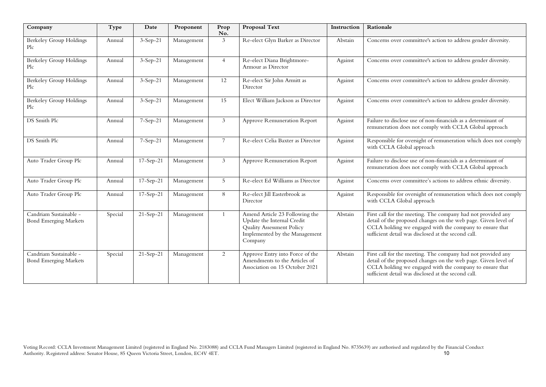| Company                                                | Type    | Date        | Proponent  | Prop<br>No.     | Proposal Text                                                                                                                         | Instruction | Rationale                                                                                                                                                                                                                                        |
|--------------------------------------------------------|---------|-------------|------------|-----------------|---------------------------------------------------------------------------------------------------------------------------------------|-------------|--------------------------------------------------------------------------------------------------------------------------------------------------------------------------------------------------------------------------------------------------|
| Berkeley Group Holdings<br>Plc                         | Annual  | $3-Sep-21$  | Management | $\mathfrak{Z}$  | Re-elect Glyn Barker as Director                                                                                                      | Abstain     | Concerns over committee's action to address gender diversity.                                                                                                                                                                                    |
| <b>Berkeley Group Holdings</b><br>Plc                  | Annual  | $3-Sep-21$  | Management | $\overline{4}$  | Re-elect Diana Brightmore-<br>Armour as Director                                                                                      | Against     | Concerns over committee's action to address gender diversity.                                                                                                                                                                                    |
| <b>Berkeley Group Holdings</b><br>Plc                  | Annual  | $3-Sep-21$  | Management | 12              | Re-elect Sir John Armitt as<br>Director                                                                                               | Against     | Concerns over committee's action to address gender diversity.                                                                                                                                                                                    |
| Berkeley Group Holdings<br>Plc                         | Annual  | $3-Sep-21$  | Management | 15              | Elect William Jackson as Director                                                                                                     | Against     | Concerns over committee's action to address gender diversity.                                                                                                                                                                                    |
| DS Smith Plc                                           | Annual  | 7-Sep-21    | Management | 3               | Approve Remuneration Report                                                                                                           | Against     | Failure to disclose use of non-financials as a determinant of<br>remuneration does not comply with CCLA Global approach                                                                                                                          |
| DS Smith Plc                                           | Annual  | 7-Sep-21    | Management | $7\overline{ }$ | Re-elect Celia Baxter as Director                                                                                                     | Against     | Responsible for oversight of remuneration which does not comply<br>with CCLA Global approach                                                                                                                                                     |
| Auto Trader Group Plc                                  | Annual  | 17-Sep-21   | Management | $\mathfrak{Z}$  | <b>Approve Remuneration Report</b>                                                                                                    | Against     | Failure to disclose use of non-financials as a determinant of<br>remuneration does not comply with CCLA Global approach                                                                                                                          |
| Auto Trader Group Plc                                  | Annual  | 17-Sep-21   | Management | 5               | Re-elect Ed Williams as Director                                                                                                      | Against     | Concerns over committee's actions to address ethnic diversity.                                                                                                                                                                                   |
| Auto Trader Group Plc                                  | Annual  | $17-Sep-21$ | Management | 8               | Re-elect Jill Easterbrook as<br>Director                                                                                              | Against     | Responsible for oversight of remuneration which does not comply<br>with CCLA Global approach                                                                                                                                                     |
| Candriam Sustainable -<br><b>Bond Emerging Markets</b> | Special | 21-Sep-21   | Management | $\overline{1}$  | Amend Article 23 Following the<br>Update the Internal Credit<br>Quality Assessment Policy<br>Implemented by the Management<br>Company | Abstain     | First call for the meeting. The company had not provided any<br>detail of the proposed changes on the web page. Given level of<br>CCLA holding we engaged with the company to ensure that<br>sufficient detail was disclosed at the second call. |
| Candriam Sustainable -<br><b>Bond Emerging Markets</b> | Special | 21-Sep-21   | Management | 2               | Approve Entry into Force of the<br>Amendments to the Articles of<br>Association on 15 October 2021                                    | Abstain     | First call for the meeting. The company had not provided any<br>detail of the proposed changes on the web page. Given level of<br>CCLA holding we engaged with the company to ensure that<br>sufficient detail was disclosed at the second call. |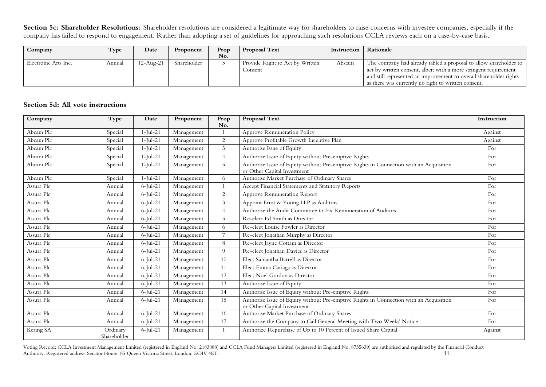Section 5c: Shareholder Resolutions: Shareholder resolutions are considered a legitimate way for shareholders to raise concerns with investee companies, especially if the company has failed to respond to engagement. Rather than adopting a set of guidelines for approaching such resolutions CCLA reviews each on a case-by-case basis.

| Company              | Type   | Date      | Proponent   | Prop | <b>Proposal Text</b>            | Instruction | Rationale                                                          |
|----------------------|--------|-----------|-------------|------|---------------------------------|-------------|--------------------------------------------------------------------|
|                      |        |           |             | No.  |                                 |             |                                                                    |
| Electronic Arts Inc. | Annual | 12-Aug-21 | Shareholder |      | Provide Right to Act by Written | Abstain     | The company had already tabled a proposal to allow shareholder to  |
|                      |        |           |             |      | Consent                         |             | act by written consent, albeit with a more stringent requirement   |
|                      |        |           |             |      |                                 |             | and still represented an improvement to overall shareholder rights |
|                      |        |           |             |      |                                 |             | as there was currently no right to written consent.                |

## **Section 5d: All vote instructions**

| Company    | Type                    | Date        | Proponent  | Prop<br>No.    | Proposal Text                                                                                                         | Instruction |
|------------|-------------------------|-------------|------------|----------------|-----------------------------------------------------------------------------------------------------------------------|-------------|
| Abcam Plc  | Special                 | $1$ -Jul-21 | Management |                | Approve Remuneration Policy                                                                                           | Against     |
| Abcam Plc  | Special                 | $1$ -Jul-21 | Management | $\overline{2}$ | Approve Profitable Growth Incentive Plan                                                                              | Against     |
| Abcam Plc  | Special                 | $1$ -Jul-21 | Management | 3 <sup>7</sup> | Authorise Issue of Equity                                                                                             | For         |
| Abcam Plc  | Special                 | $1$ -Jul-21 | Management | $\overline{4}$ | Authorise Issue of Equity without Pre-emptive Rights                                                                  | For         |
| Abcam Plc  | Special                 | $1$ -Jul-21 | Management | 5              | Authorise Issue of Equity without Pre-emptive Rights in Connection with an Acquisition<br>or Other Capital Investment | For         |
| Abcam Plc  | Special                 | $1$ -Jul-21 | Management | 6              | Authorise Market Purchase of Ordinary Shares                                                                          | For         |
| Assura Plc | Annual                  | $6$ -Jul-21 | Management |                | Accept Financial Statements and Statutory Reports                                                                     | For         |
| Assura Plc | Annual                  | $6$ -Jul-21 | Management | $\overline{2}$ | Approve Remuneration Report                                                                                           | For         |
| Assura Plc | Annual                  | $6$ -Jul-21 | Management | $\mathfrak{Z}$ | Appoint Ernst & Young LLP as Auditors                                                                                 | For         |
| Assura Plc | Annual                  | $6$ -Jul-21 | Management | $\overline{4}$ | Authorise the Audit Committee to Fix Remuneration of Auditors                                                         | For         |
| Assura Plc | Annual                  | $6$ -Jul-21 | Management | 5              | Re-elect Ed Smith as Director                                                                                         | For         |
| Assura Plc | Annual                  | $6$ -Jul-21 | Management | 6              | Re-elect Louise Fowler as Director                                                                                    | For         |
| Assura Plc | Annual                  | $6$ -Jul-21 | Management |                | Re-elect Jonathan Murphy as Director                                                                                  | For         |
| Assura Plc | Annual                  | $6$ -Jul-21 | Management | 8              | Re-elect Jayne Cottam as Director                                                                                     | For         |
| Assura Plc | Annual                  | $6$ -Jul-21 | Management | 9              | Re-elect Jonathan Davies as Director                                                                                  | For         |
| Assura Plc | Annual                  | $6$ -Jul-21 | Management | 10             | Elect Samantha Barrell as Director                                                                                    | For         |
| Assura Plc | Annual                  | $6$ -Jul-21 | Management | 11             | Elect Emma Cariaga as Director                                                                                        | For         |
| Assura Plc | Annual                  | $6$ -Jul-21 | Management | 12             | Elect Noel Gordon as Director                                                                                         | For         |
| Assura Plc | Annual                  | $6$ -Jul-21 | Management | 13             | Authorise Issue of Equity                                                                                             | For         |
| Assura Plc | Annual                  | $6$ -Jul-21 | Management | 14             | Authorise Issue of Equity without Pre-emptive Rights                                                                  | For         |
| Assura Plc | Annual                  | $6$ -Jul-21 | Management | 15             | Authorise Issue of Equity without Pre-emptive Rights in Connection with an Acquisition<br>or Other Capital Investment | For         |
| Assura Plc | Annual                  | $6$ -Jul-21 | Management | 16             | Authorise Market Purchase of Ordinary Shares                                                                          | For         |
| Assura Plc | Annual                  | $6$ -Jul-21 | Management | 17             | Authorise the Company to Call General Meeting with Two Weeks' Notice                                                  | For         |
| Kering SA  | Ordinary<br>Shareholder | $6$ -Jul-21 | Management | $\mathbf{1}$   | Authorize Repurchase of Up to 10 Percent of Issued Share Capital                                                      | Against     |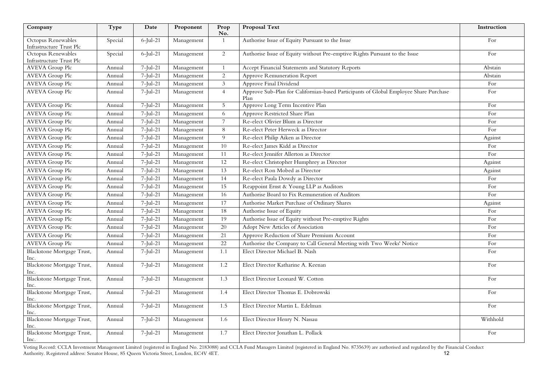| Company                                        | Type    | Date        | Proponent  | Prop<br>No.     | <b>Proposal Text</b>                                                                          | Instruction |
|------------------------------------------------|---------|-------------|------------|-----------------|-----------------------------------------------------------------------------------------------|-------------|
| Octopus Renewables<br>Infrastructure Trust Plc | Special | $6$ -Jul-21 | Management | 1               | Authorise Issue of Equity Pursuant to the Issue                                               | For         |
| Octopus Renewables<br>Infrastructure Trust Plc | Special | $6$ -Jul-21 | Management | $\overline{2}$  | Authorise Issue of Equity without Pre-emptive Rights Pursuant to the Issue                    | For         |
| <b>AVEVA Group Plc</b>                         | Annual  | $7$ -Jul-21 | Management | $\mathbf{1}$    | Accept Financial Statements and Statutory Reports                                             | Abstain     |
| <b>AVEVA Group Plc</b>                         | Annual  | $7$ -Jul-21 | Management | $\overline{2}$  | Approve Remuneration Report                                                                   | Abstain     |
| <b>AVEVA</b> Group Plc                         | Annual  | $7$ -Jul-21 | Management | $\mathfrak{Z}$  | Approve Final Dividend                                                                        | For         |
| <b>AVEVA Group Plc</b>                         | Annual  | $7$ -Jul-21 | Management | $\overline{4}$  | Approve Sub-Plan for Californian-based Participants of Global Employee Share Purchase<br>Plan | For         |
| <b>AVEVA Group Plc</b>                         | Annual  | $7$ -Jul-21 | Management | 5 <sup>5</sup>  | Approve Long Term Incentive Plan                                                              | For         |
| <b>AVEVA</b> Group Plc                         | Annual  | $7$ -Jul-21 | Management | 6               | Approve Restricted Share Plan                                                                 | For         |
| <b>AVEVA Group Plc</b>                         | Annual  | $7$ -Jul-21 | Management | $7^{\circ}$     | Re-elect Olivier Blum as Director                                                             | For         |
| <b>AVEVA</b> Group Plc                         | Annual  | $7$ -Jul-21 | Management | 8               | Re-elect Peter Herweck as Director                                                            | For         |
| <b>AVEVA</b> Group Plc                         | Annual  | $7$ -Jul-21 | Management | 9               | Re-elect Philip Aiken as Director                                                             | Against     |
| <b>AVEVA Group Plc</b>                         | Annual  | $7$ -Jul-21 | Management | 10              | Re-elect James Kidd as Director                                                               | For         |
| <b>AVEVA</b> Group Plc                         | Annual  | $7$ -Jul-21 | Management | $\overline{11}$ | Re-elect Jennifer Allerton as Director                                                        | For         |
| <b>AVEVA</b> Group Plc                         | Annual  | $7$ -Jul-21 | Management | $\overline{12}$ | Re-elect Christopher Humphrey as Director                                                     | Against     |
| <b>AVEVA Group Plc</b>                         | Annual  | $7$ -Jul-21 | Management | 13              | Re-elect Ron Mobed as Director                                                                | Against     |
| <b>AVEVA</b> Group Plc                         | Annual  | $7$ -Jul-21 | Management | 14              | Re-elect Paula Dowdy as Director                                                              | For         |
| <b>AVEVA</b> Group Plc                         | Annual  | $7$ -Jul-21 | Management | 15              | Reappoint Ernst & Young LLP as Auditors                                                       | For         |
| <b>AVEVA</b> Group Plc                         | Annual  | $7$ -Jul-21 | Management | 16              | Authorise Board to Fix Remuneration of Auditors                                               | For         |
| <b>AVEVA Group Plc</b>                         | Annual  | $7$ -Jul-21 | Management | 17              | Authorise Market Purchase of Ordinary Shares                                                  | Against     |
| <b>AVEVA Group Plc</b>                         | Annual  | $7$ -Jul-21 | Management | 18              | Authorise Issue of Equity                                                                     | For         |
| <b>AVEVA Group Plc</b>                         | Annual  | $7$ -Jul-21 | Management | 19              | Authorise Issue of Equity without Pre-emptive Rights                                          | For         |
| <b>AVEVA</b> Group Plc                         | Annual  | $7$ -Jul-21 | Management | 20              | Adopt New Articles of Association                                                             | For         |
| <b>AVEVA</b> Group Plc                         | Annual  | $7$ -Jul-21 | Management | 21              | Approve Reduction of Share Premium Account                                                    | For         |
| <b>AVEVA Group Plc</b>                         | Annual  | $7$ -Jul-21 | Management | 22              | Authorise the Company to Call General Meeting with Two Weeks' Notice                          | For         |
| Blackstone Mortgage Trust,<br>Inc.             | Annual  | $7$ -Jul-21 | Management | 1.1             | Elect Director Michael B. Nash                                                                | For         |
| Blackstone Mortgage Trust,<br>Inc.             | Annual  | $7$ -Jul-21 | Management | 1.2             | Elect Director Katharine A. Keenan                                                            | For         |
| Blackstone Mortgage Trust,<br>Inc.             | Annual  | $7$ -Jul-21 | Management | 1.3             | Elect Director Leonard W. Cotton                                                              | For         |
| Blackstone Mortgage Trust,<br>Inc.             | Annual  | $7$ -Jul-21 | Management | 1.4             | Elect Director Thomas E. Dobrowski                                                            | For         |
| Blackstone Mortgage Trust,<br>Inc.             | Annual  | $7$ -Jul-21 | Management | 1.5             | Elect Director Martin L. Edelman                                                              | For         |
| Blackstone Mortgage Trust,<br>Inc.             | Annual  | $7$ -Jul-21 | Management | 1.6             | Elect Director Henry N. Nassau                                                                | Withhold    |
| Blackstone Mortgage Trust,<br>Inc.             | Annual  | $7$ -Jul-21 | Management | 1.7             | Elect Director Jonathan L. Pollack                                                            | For         |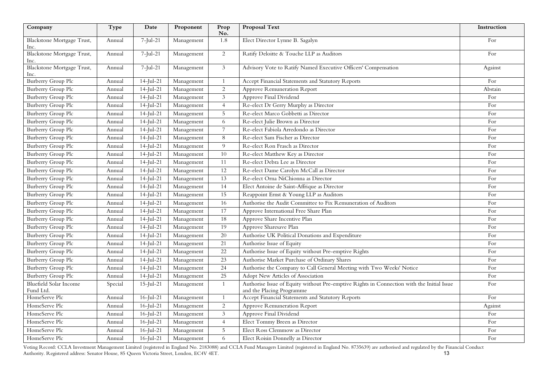| Company                                    | Type    | Date         | Proponent  | Prop<br>No.     | <b>Proposal Text</b>                                                                                                   | Instruction |
|--------------------------------------------|---------|--------------|------------|-----------------|------------------------------------------------------------------------------------------------------------------------|-------------|
| Blackstone Mortgage Trust,<br>Inc.         | Annual  | $7$ -Jul-21  | Management | 1.8             | Elect Director Lynne B. Sagalyn                                                                                        | For         |
| Blackstone Mortgage Trust,<br>Inc.         | Annual  | $7$ -Jul-21  | Management | 2               | Ratify Deloitte & Touche LLP as Auditors                                                                               | For         |
| Blackstone Mortgage Trust,<br>Inc.         | Annual  | $7$ -Jul-21  | Management | $\mathfrak{Z}$  | Advisory Vote to Ratify Named Executive Officers' Compensation                                                         | Against     |
| <b>Burberry Group Plc</b>                  | Annual  | $14$ -Jul-21 | Management | $\mathbf{1}$    | Accept Financial Statements and Statutory Reports                                                                      | For         |
| Burberry Group Plc                         | Annual  | $14$ -Jul-21 | Management | $\overline{2}$  | Approve Remuneration Report                                                                                            | Abstain     |
| Burberry Group Plc                         | Annual  | $14$ -Jul-21 | Management | $\overline{3}$  | Approve Final Dividend                                                                                                 | For         |
| Burberry Group Plc                         | Annual  | $14$ -Jul-21 | Management | $\overline{4}$  | Re-elect Dr Gerry Murphy as Director                                                                                   | For         |
| Burberry Group Plc                         | Annual  | $14$ -Jul-21 | Management | 5               | Re-elect Marco Gobbetti as Director                                                                                    | For         |
| Burberry Group Plc                         | Annual  | $14$ -Jul-21 | Management | 6               | Re-elect Julie Brown as Director                                                                                       | For         |
| <b>Burberry Group Plc</b>                  | Annual  | $14$ -Jul-21 | Management | 7               | Re-elect Fabiola Arredondo as Director                                                                                 | For         |
| Burberry Group Plc                         | Annual  | $14$ -Jul-21 | Management | $\,8\,$         | Re-elect Sam Fischer as Director                                                                                       | For         |
| Burberry Group Plc                         | Annual  | $14$ -Jul-21 | Management | 9               | Re-elect Ron Frasch as Director                                                                                        | For         |
| Burberry Group Plc                         | Annual  | $14$ -Jul-21 | Management | 10              | Re-elect Matthew Key as Director                                                                                       | For         |
| Burberry Group Plc                         | Annual  | $14$ -Jul-21 | Management | 11              | Re-elect Debra Lee as Director                                                                                         | For         |
| Burberry Group Plc                         | Annual  | $14$ -Jul-21 | Management | 12              | Re-elect Dame Carolyn McCall as Director                                                                               | For         |
| Burberry Group Plc                         | Annual  | $14$ -Jul-21 | Management | 13              | Re-elect Orna NiChionna as Director                                                                                    | For         |
| Burberry Group Plc                         | Annual  | $14$ -Jul-21 | Management | 14              | Elect Antoine de Saint-Affrique as Director                                                                            | For         |
| Burberry Group Plc                         | Annual  | $14$ -Jul-21 | Management | 15              | Reappoint Ernst & Young LLP as Auditors                                                                                | For         |
| Burberry Group Plc                         | Annual  | $14$ -Jul-21 | Management | 16              | Authorise the Audit Committee to Fix Remuneration of Auditors                                                          | For         |
| Burberry Group Plc                         | Annual  | $14$ -Jul-21 | Management | 17              | Approve International Free Share Plan                                                                                  | For         |
| Burberry Group Plc                         | Annual  | $14$ -Jul-21 | Management | 18              | Approve Share Incentive Plan                                                                                           | For         |
| Burberry Group Plc                         | Annual  | $14$ -Jul-21 | Management | 19              | Approve Sharesave Plan                                                                                                 | For         |
| Burberry Group Plc                         | Annual  | $14$ -Jul-21 | Management | 20              | Authorise UK Political Donations and Expenditure                                                                       | For         |
| Burberry Group Plc                         | Annual  | $14$ -Jul-21 | Management | 21              | Authorise Issue of Equity                                                                                              | For         |
| <b>Burberry Group Plc</b>                  | Annual  | $14$ -Jul-21 | Management | 22              | Authorise Issue of Equity without Pre-emptive Rights                                                                   | For         |
| Burberry Group Plc                         | Annual  | $14$ -Jul-21 | Management | $\overline{23}$ | Authorise Market Purchase of Ordinary Shares                                                                           | For         |
| Burberry Group Plc                         | Annual  | $14$ -Jul-21 | Management | 24              | Authorise the Company to Call General Meeting with Two Weeks' Notice                                                   | For         |
| Burberry Group Plc                         | Annual  | $14$ -Jul-21 | Management | $\overline{25}$ | Adopt New Articles of Association                                                                                      | For         |
| <b>Bluefield Solar Income</b><br>Fund Ltd. | Special | $15$ -Jul-21 | Management | $\mathbf{1}$    | Authorise Issue of Equity without Pre-emptive Rights in Connection with the Initial Issue<br>and the Placing Programme | For         |
| HomeServe Plc                              | Annual  | $16$ -Jul-21 | Management | $\mathbf{1}$    | Accept Financial Statements and Statutory Reports                                                                      | For         |
| HomeServe Plc                              | Annual  | $16$ -Jul-21 | Management | 2               | Approve Remuneration Report                                                                                            | Against     |
| HomeServe Plc                              | Annual  | $16$ -Jul-21 | Management | 3               | Approve Final Dividend                                                                                                 | For         |
| HomeServe Plc                              | Annual  | $16$ -Jul-21 | Management | $\overline{4}$  | Elect Tommy Breen as Director                                                                                          | For         |
| HomeServe Plc                              | Annual  | $16$ -Jul-21 | Management | 5               | Elect Ross Clemmow as Director                                                                                         | For         |
| HomeServe Plc                              | Annual  | $16$ -Jul-21 | Management | 6               | Elect Roisin Donnelly as Director                                                                                      | For         |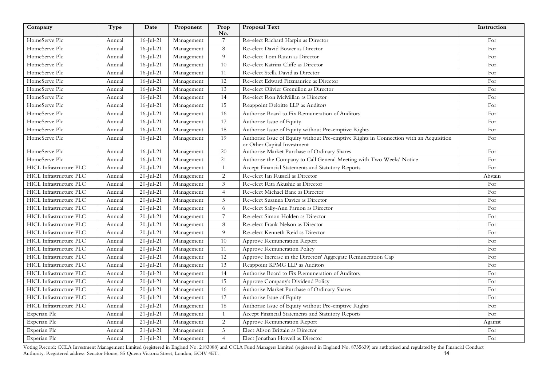| Company                        | Type   | Date                    | Proponent  | Prop<br>No.     | Proposal Text                                                                                                         | Instruction |
|--------------------------------|--------|-------------------------|------------|-----------------|-----------------------------------------------------------------------------------------------------------------------|-------------|
| HomeServe Plc                  | Annual | $16$ -Jul-21            | Management | $\overline{7}$  | Re-elect Richard Harpin as Director                                                                                   | For         |
| HomeServe Plc                  | Annual | $16$ -Jul-21            | Management | 8               | Re-elect David Bower as Director                                                                                      | For         |
| HomeServe Plc                  | Annual | $16$ -Jul-21            | Management | 9               | Re-elect Tom Rusin as Director                                                                                        | For         |
| HomeServe Plc                  | Annual | $16$ -Jul-21            | Management | 10              | Re-elect Katrina Cliffe as Director                                                                                   | For         |
| HomeServe Plc                  | Annual | $16$ -Jul-21            | Management | 11              | Re-elect Stella David as Director                                                                                     | For         |
| HomeServe Plc                  | Annual | $16$ -Jul-21            | Management | 12              | Re-elect Edward Fitzmaurice as Director                                                                               | For         |
| HomeServe Plc                  | Annual | $16$ -Jul-21            | Management | 13              | Re-elect Olivier Gremillon as Director                                                                                | For         |
| HomeServe Plc                  | Annual | $16$ -Jul-21            | Management | 14              | Re-elect Ron McMillan as Director                                                                                     | For         |
| HomeServe Plc                  | Annual | $16$ -Jul-21            | Management | 15              | Reappoint Deloitte LLP as Auditors                                                                                    | For         |
| HomeServe Plc                  | Annual | $16$ -Jul-21            | Management | 16              | Authorise Board to Fix Remuneration of Auditors                                                                       | For         |
| HomeServe Plc                  | Annual | $16$ -Jul-21            | Management | 17              | Authorise Issue of Equity                                                                                             | For         |
| HomeServe Plc                  | Annual | $16$ -Jul-21            | Management | 18              | Authorise Issue of Equity without Pre-emptive Rights                                                                  | For         |
| HomeServe Plc                  | Annual | $16$ -Jul-21            | Management | 19              | Authorise Issue of Equity without Pre-emptive Rights in Connection with an Acquisition<br>or Other Capital Investment | For         |
| HomeServe Plc                  | Annual | $16$ -Jul-21            | Management | 20              | Authorise Market Purchase of Ordinary Shares                                                                          | For         |
| HomeServe Plc                  | Annual | $16$ -Jul-21            | Management | 21              | Authorise the Company to Call General Meeting with Two Weeks' Notice                                                  | For         |
| HICL Infrastructure PLC        | Annual | $20$ -Jul-21            | Management | $\overline{1}$  | Accept Financial Statements and Statutory Reports                                                                     | For         |
| HICL Infrastructure PLC        | Annual | $20$ -Jul-21            | Management | 2               | Re-elect Ian Russell as Director                                                                                      | Abstain     |
| <b>HICL Infrastructure PLC</b> | Annual | $20$ -Jul-21            | Management | $\mathfrak{Z}$  | Re-elect Rita Akushie as Director                                                                                     | For         |
| HICL Infrastructure PLC        | Annual | $20$ -Jul-21            | Management | $\overline{4}$  | Re-elect Michael Bane as Director                                                                                     | For         |
| HICL Infrastructure PLC        | Annual | $20$ -Jul-21            | Management | 5               | Re-elect Susanna Davies as Director                                                                                   | For         |
| <b>HICL</b> Infrastructure PLC | Annual | $20$ -Jul-21            | Management | 6               | Re-elect Sally-Ann Farnon as Director                                                                                 | For         |
| HICL Infrastructure PLC        | Annual | $\overline{20}$ -Jul-21 | Management | $\overline{7}$  | Re-elect Simon Holden as Director                                                                                     | For         |
| HICL Infrastructure PLC        | Annual | $20$ -Jul-21            | Management | 8               | Re-elect Frank Nelson as Director                                                                                     | For         |
| <b>HICL Infrastructure PLC</b> | Annual | $20$ -Jul-21            | Management | 9               | Re-elect Kenneth Reid as Director                                                                                     | For         |
| <b>HICL Infrastructure PLC</b> | Annual | $20$ -Jul-21            | Management | 10              | Approve Remuneration Report                                                                                           | For         |
| <b>HICL Infrastructure PLC</b> | Annual | $20$ -Jul-21            | Management | $\overline{11}$ | Approve Remuneration Policy                                                                                           | For         |
| <b>HICL Infrastructure PLC</b> | Annual | $20$ -Jul-21            | Management | $\overline{12}$ | Approve Increase in the Directors' Aggregate Remuneration Cap                                                         | For         |
| <b>HICL Infrastructure PLC</b> | Annual | $20$ -Jul-21            | Management | 13              | Reappoint KPMG LLP as Auditors                                                                                        | For         |
| <b>HICL Infrastructure PLC</b> | Annual | $20$ -Jul-21            | Management | 14              | Authorise Board to Fix Remuneration of Auditors                                                                       | For         |
| HICL Infrastructure PLC        | Annual | $20$ -Jul-21            | Management | 15              | Approve Company's Dividend Policy                                                                                     | For         |
| <b>HICL Infrastructure PLC</b> | Annual | $20$ -Jul-21            | Management | 16              | Authorise Market Purchase of Ordinary Shares                                                                          | For         |
| HICL Infrastructure PLC        | Annual | $20$ -Jul-21            | Management | 17              | Authorise Issue of Equity                                                                                             | For         |
| <b>HICL Infrastructure PLC</b> | Annual | $20$ -Jul-21            | Management | 18              | Authorise Issue of Equity without Pre-emptive Rights                                                                  | For         |
| Experian Plc                   | Annual | $21$ -Jul-21            | Management |                 | Accept Financial Statements and Statutory Reports                                                                     | For         |
| Experian Plc                   | Annual | $21$ -Jul-21            | Management | $\overline{c}$  | Approve Remuneration Report                                                                                           | Against     |
| Experian Plc                   | Annual | $21$ -Jul-21            | Management | $\mathfrak{Z}$  | Elect Alison Brittain as Director                                                                                     | For         |
| Experian Plc                   | Annual | $21$ -Jul-21            | Management | $\overline{4}$  | Elect Jonathan Howell as Director                                                                                     | For         |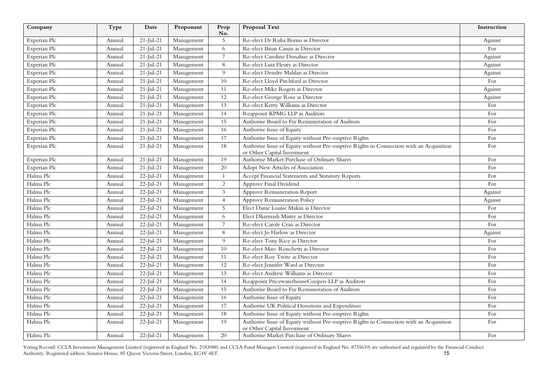| Company      | Type   | Date            | Proponent  | Prop<br>No.    | <b>Proposal Text</b>                                                                                                  | Instruction |
|--------------|--------|-----------------|------------|----------------|-----------------------------------------------------------------------------------------------------------------------|-------------|
| Experian Plc | Annual | $21$ -Jul-21    | Management | 5              | Re-elect Dr Ruba Borno as Director                                                                                    | Against     |
| Experian Plc | Annual | $21$ -Jul-21    | Management | 6              | Re-elect Brian Cassin as Director                                                                                     | For         |
| Experian Plc | Annual | $21$ -Jul-21    | Management | $\overline{7}$ | Re-elect Caroline Donahue as Director                                                                                 | Against     |
| Experian Plc | Annual | $21$ -Jul-21    | Management | 8              | Re-elect Luiz Fleury as Director                                                                                      | Against     |
| Experian Plc | Annual | $21$ -Jul-21    | Management | 9              | Re-elect Deirdre Mahlan as Director                                                                                   | Against     |
| Experian Plc | Annual | $21$ -Jul-21    | Management | 10             | Re-elect Lloyd Pitchford as Director                                                                                  | For         |
| Experian Plc | Annual | $21$ -Jul-21    | Management | 11             | Re-elect Mike Rogers as Director                                                                                      | Against     |
| Experian Plc | Annual | $21$ -Jul-21    | Management | 12             | Re-elect George Rose as Director                                                                                      | Against     |
| Experian Plc | Annual | $21$ -Jul- $21$ | Management | 13             | Re-elect Kerry Williams as Director                                                                                   | For         |
| Experian Plc | Annual | $21$ -Jul-21    | Management | 14             | Reappoint KPMG LLP as Auditors                                                                                        | For         |
| Experian Plc | Annual | $21$ -Jul-21    | Management | 15             | Authorise Board to Fix Remuneration of Auditors                                                                       | For         |
| Experian Plc | Annual | $21$ -Jul-21    | Management | 16             | Authorise Issue of Equity                                                                                             | For         |
| Experian Plc | Annual | $21$ -Jul-21    | Management | 17             | Authorise Issue of Equity without Pre-emptive Rights                                                                  | For         |
| Experian Plc | Annual | $21$ -Jul-21    | Management | 18             | Authorise Issue of Equity without Pre-emptive Rights in Connection with an Acquisition<br>or Other Capital Investment | For         |
| Experian Plc | Annual | $21$ -Jul-21    | Management | 19             | Authorise Market Purchase of Ordinary Shares                                                                          | For         |
| Experian Plc | Annual | $21$ -Jul-21    | Management | $20\,$         | Adopt New Articles of Association                                                                                     | For         |
| Halma Plc    | Annual | $22$ -Jul-21    | Management | $\mathbf{1}$   | Accept Financial Statements and Statutory Reports                                                                     | For         |
| Halma Plc    | Annual | $22$ -Jul-21    | Management | $\overline{c}$ | Approve Final Dividend                                                                                                | For         |
| Halma Plc    | Annual | $22$ -Jul-21    | Management | 3              | Approve Remuneration Report                                                                                           | Against     |
| Halma Plc    | Annual | $22$ -Jul- $21$ | Management | $\overline{4}$ | Approve Remuneration Policy                                                                                           | Against     |
| Halma Plc    | Annual | $22$ -Jul-21    | Management | 5              | Elect Dame Louise Makin as Director                                                                                   | For         |
| Halma Plc    | Annual | $22$ -Jul-21    | Management | 6              | Elect Dharmash Mistry as Director                                                                                     | For         |
| Halma Plc    | Annual | $22$ -Jul-21    | Management | $\overline{7}$ | Re-elect Carole Cran as Director                                                                                      | For         |
| Halma Plc    | Annual | $22$ -Jul-21    | Management | 8              | Re-elect Jo Harlow as Director                                                                                        | Against     |
| Halma Plc    | Annual | $22$ -Jul-21    | Management | 9              | Re-elect Tony Rice as Director                                                                                        | For         |
| Halma Plc    | Annual | $22$ -Jul-21    | Management | 10             | Re-elect Marc Ronchetti as Director                                                                                   | For         |
| Halma Plc    | Annual | $22$ -Jul-21    | Management | 11             | Re-elect Roy Twite as Director                                                                                        | For         |
| Halma Plc    | Annual | $22$ -Jul-21    | Management | 12             | Re-elect Jennifer Ward as Director                                                                                    | For         |
| Halma Plc    | Annual | $22$ -Jul-21    | Management | 13             | Re-elect Andrew Williams as Director                                                                                  | For         |
| Halma Plc    | Annual | $22$ -Jul-21    | Management | 14             | Reappoint PricewaterhouseCoopers LLP as Auditors                                                                      | For         |
| Halma Plc    | Annual | $22$ -Jul-21    | Management | 15             | Authorise Board to Fix Remuneration of Auditors                                                                       | For         |
| Halma Plc    | Annual | $22$ -Jul-21    | Management | 16             | Authorise Issue of Equity                                                                                             | For         |
| Halma Plc    | Annual | $22$ -Jul- $21$ | Management | 17             | Authorise UK Political Donations and Expenditure                                                                      | For         |
| Halma Plc    | Annual | $22$ -Jul-21    | Management | 18             | Authorise Issue of Equity without Pre-emptive Rights                                                                  | For         |
| Halma Plc    | Annual | $22$ -Jul-21    | Management | 19             | Authorise Issue of Equity without Pre-emptive Rights in Connection with an Acquisition<br>or Other Capital Investment | For         |
| Halma Plc    | Annual | $22$ -Jul-21    | Management | 20             | Authorise Market Purchase of Ordinary Shares                                                                          | For         |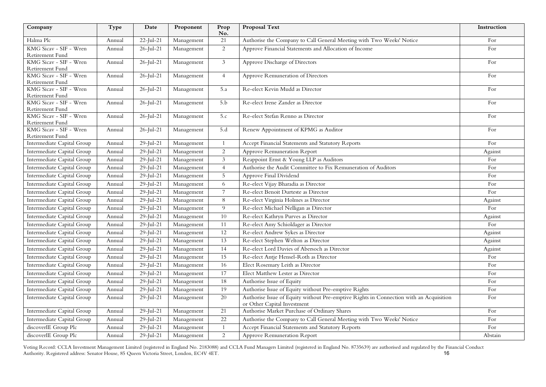| Company                                   | Type   | Date            | Proponent  | Prop<br>No.    | <b>Proposal Text</b>                                                                                                  | Instruction |
|-------------------------------------------|--------|-----------------|------------|----------------|-----------------------------------------------------------------------------------------------------------------------|-------------|
| Halma Plc                                 | Annual | $22$ -Jul-21    | Management | 21             | Authorise the Company to Call General Meeting with Two Weeks' Notice                                                  | For         |
| KMG Sicav - SIF - Wren                    | Annual | $26$ -Jul-21    | Management | 2              | Approve Financial Statements and Allocation of Income                                                                 | For         |
| Retirement Fund                           |        |                 |            |                |                                                                                                                       |             |
| KMG Sicav - SIF - Wren                    | Annual | $26$ -Jul- $21$ | Management | $\mathfrak{Z}$ | Approve Discharge of Directors                                                                                        | For         |
| Retirement Fund<br>KMG Sicav - SIF - Wren | Annual | $26$ -Jul-21    | Management | $\overline{4}$ | Approve Remuneration of Directors                                                                                     | For         |
| Retirement Fund                           |        |                 |            |                |                                                                                                                       |             |
| KMG Sicav - SIF - Wren                    | Annual | $26$ -Jul- $21$ | Management | 5.a            | Re-elect Kevin Mudd as Director                                                                                       | For         |
| Retirement Fund                           |        |                 |            |                |                                                                                                                       |             |
| KMG Sicav - SIF - Wren                    | Annual | $26$ -Jul-21    | Management | 5.b            | Re-elect Irene Zander as Director                                                                                     | For         |
| Retirement Fund                           |        |                 |            |                |                                                                                                                       |             |
| KMG Sicav - SIF - Wren<br>Retirement Fund | Annual | $26$ -Jul-21    | Management | 5.c            | Re-elect Stefan Renno as Director                                                                                     | For         |
| KMG Sicav - SIF - Wren                    | Annual | $26$ -Jul-21    | Management | 5.d            | Renew Appointment of KPMG as Auditor                                                                                  | For         |
| Retirement Fund                           |        |                 |            |                |                                                                                                                       |             |
| Intermediate Capital Group                | Annual | $29$ -Jul-21    | Management |                | Accept Financial Statements and Statutory Reports                                                                     | For         |
| Intermediate Capital Group                | Annual | $29$ -Jul-21    | Management | 2              | Approve Remuneration Report                                                                                           | Against     |
| Intermediate Capital Group                | Annual | $29$ -Jul-21    | Management | $\mathfrak{Z}$ | Reappoint Ernst & Young LLP as Auditors                                                                               | For         |
| Intermediate Capital Group                | Annual | $29$ -Jul-21    | Management | $\overline{4}$ | Authorise the Audit Committee to Fix Remuneration of Auditors                                                         | For         |
| Intermediate Capital Group                | Annual | $29$ -Jul-21    | Management | $5^{\circ}$    | Approve Final Dividend                                                                                                | For         |
| Intermediate Capital Group                | Annual | $29$ -Jul-21    | Management | 6              | Re-elect Vijay Bharadia as Director                                                                                   | For         |
| Intermediate Capital Group                | Annual | $29$ -Jul-21    | Management | $\overline{7}$ | Re-elect Benoit Durteste as Director                                                                                  | For         |
| Intermediate Capital Group                | Annual | 29-Jul-21       | Management | 8              | Re-elect Virginia Holmes as Director                                                                                  | Against     |
| Intermediate Capital Group                | Annual | $29$ -Jul-21    | Management | 9              | Re-elect Michael Nelligan as Director                                                                                 | For         |
| Intermediate Capital Group                | Annual | $29$ -Jul-21    | Management | 10             | Re-elect Kathryn Purves as Director                                                                                   | Against     |
| Intermediate Capital Group                | Annual | 29-Jul-21       | Management | 11             | Re-elect Amy Schioldager as Director                                                                                  | For         |
| Intermediate Capital Group                | Annual | 29-Jul-21       | Management | 12             | Re-elect Andrew Sykes as Director                                                                                     | Against     |
| Intermediate Capital Group                | Annual | $29$ -Jul-21    | Management | 13             | Re-elect Stephen Welton as Director                                                                                   | Against     |
| Intermediate Capital Group                | Annual | $29$ -Jul-21    | Management | 14             | Re-elect Lord Davies of Abersoch as Director                                                                          | Against     |
| Intermediate Capital Group                | Annual | 29-Jul-21       | Management | 15             | Re-elect Antje Hensel-Roth as Director                                                                                | For         |
| Intermediate Capital Group                | Annual | $29$ -Jul-21    | Management | 16             | Elect Rosemary Leith as Director                                                                                      | For         |
| Intermediate Capital Group                | Annual | $29$ -Jul-21    | Management | 17             | Elect Matthew Lester as Director                                                                                      | For         |
| Intermediate Capital Group                | Annual | $29$ -Jul- $21$ | Management | 18             | Authorise Issue of Equity                                                                                             | For         |
| Intermediate Capital Group                | Annual | 29-Jul-21       | Management | 19             | Authorise Issue of Equity without Pre-emptive Rights                                                                  | For         |
| Intermediate Capital Group                | Annual | $29$ -Jul-21    | Management | 20             | Authorise Issue of Equity without Pre-emptive Rights in Connection with an Acquisition<br>or Other Capital Investment | For         |
| Intermediate Capital Group                | Annual | $29$ -Jul-21    | Management | 21             | Authorise Market Purchase of Ordinary Shares                                                                          | For         |
| Intermediate Capital Group                | Annual | $29$ -Jul-21    | Management | 22             | Authorise the Company to Call General Meeting with Two Weeks' Notice                                                  | For         |
| discoverIE Group Plc                      | Annual | $29$ -Jul-21    | Management | $\mathbf{1}$   | Accept Financial Statements and Statutory Reports                                                                     | For         |
| discoverIE Group Plc                      | Annual | $29$ -Jul-21    | Management | $\overline{2}$ | Approve Remuneration Report                                                                                           | Abstain     |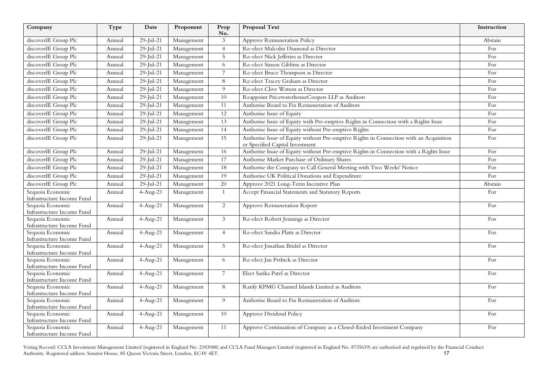| Company                                        | Type   | Date                   | Proponent  | Prop<br>No.    | Proposal Text                                                                                                             | Instruction |
|------------------------------------------------|--------|------------------------|------------|----------------|---------------------------------------------------------------------------------------------------------------------------|-------------|
| discoverIE Group Plc                           | Annual | $29$ -Jul-21           | Management | 3              | Approve Remuneration Policy                                                                                               | Abstain     |
| discoverIE Group Plc                           | Annual | $29$ -Jul-21           | Management | $\overline{4}$ | Re-elect Malcolm Diamond as Director                                                                                      | For         |
| discoverIE Group Plc                           | Annual | $29$ -Jul-21           | Management | 5              | Re-elect Nick Jefferies as Director                                                                                       | For         |
| discoverIE Group Plc                           | Annual | $29$ -Jul-21           | Management | 6              | Re-elect Simon Gibbins as Director                                                                                        | For         |
| discoverIE Group Plc                           | Annual | $29$ -Jul- $21$        | Management | $\overline{7}$ | Re-elect Bruce Thompson as Director                                                                                       | For         |
| discoverIE Group Plc                           | Annual | $29$ -Jul- $21$        | Management | 8              | Re-elect Tracey Graham as Director                                                                                        | For         |
| discoverIE Group Plc                           | Annual | $29$ -Jul-21           | Management | 9              | Re-elect Clive Watson as Director                                                                                         | For         |
| discoverIE Group Plc                           | Annual | $29$ -Jul-21           | Management | 10             | Reappoint PricewaterhouseCoopers LLP as Auditors                                                                          | For         |
| discoverIE Group Plc                           | Annual | $29$ -Jul-21           | Management | 11             | Authorise Board to Fix Remuneration of Auditors                                                                           | For         |
| discoverIE Group Plc                           | Annual | $29$ -Jul-21           | Management | 12             | Authorise Issue of Equity                                                                                                 | For         |
| discoverIE Group Plc                           | Annual | $29$ -Jul-21           | Management | 13             | Authorise Issue of Equity with Pre-emptive Rights in Connection with a Rights Issue                                       | For         |
| discoverIE Group Plc                           | Annual | $29$ -Jul-21           | Management | 14             | Authorise Issue of Equity without Pre-emptive Rights                                                                      | For         |
| discoverIE Group Plc                           | Annual | $29$ -Jul-21           | Management | 15             | Authorise Issue of Equity without Pre-emptive Rights in Connection with an Acquisition<br>or Specified Capital Investment | For         |
| discoverIE Group Plc                           | Annual | $29$ -Jul-21           | Management | 16             | Authorise Issue of Equity without Pre-emptive Rights in Connection with a Rights Issue                                    | For         |
| discoverIE Group Plc                           | Annual | $29$ -Jul-21           | Management | 17             | Authorise Market Purchase of Ordinary Shares                                                                              | For         |
| discoverIE Group Plc                           | Annual | $29$ -Jul-21           | Management | 18             | Authorise the Company to Call General Meeting with Two Weeks' Notice                                                      | For         |
| discoverIE Group Plc                           | Annual | $29$ -Jul-21           | Management | 19             | Authorise UK Political Donations and Expenditure                                                                          | For         |
| discoverIE Group Plc                           | Annual | $29$ -Jul-21           | Management | 20             | Approve 2021 Long-Term Incentive Plan                                                                                     | Abstain     |
| Sequoia Economic                               | Annual | $4-Aug-21$             | Management | $\mathbf{1}$   | Accept Financial Statements and Statutory Reports                                                                         | For         |
| Infrastructure Income Fund                     |        |                        |            |                |                                                                                                                           |             |
| Sequoia Economic<br>Infrastructure Income Fund | Annual | $4-Aug-21$             | Management | $\overline{2}$ | Approve Remuneration Report                                                                                               | For         |
| Sequoia Economic                               | Annual | $4-Aug-21$             | Management | $\mathfrak{Z}$ | Re-elect Robert Jennings as Director                                                                                      | For         |
| Infrastructure Income Fund                     |        |                        |            |                |                                                                                                                           |             |
| Sequoia Economic                               | Annual | $4-Aug-21$             | Management | $\overline{4}$ | Re-elect Sandra Platts as Director                                                                                        | For         |
| Infrastructure Income Fund                     |        |                        |            |                |                                                                                                                           |             |
| Sequoia Economic<br>Infrastructure Income Fund | Annual | $4-Aug-21$             | Management | 5 <sup>5</sup> | Re-elect Jonathan Bridel as Director                                                                                      | For         |
| Sequoia Economic                               | Annual | $4-Aug-21$             | Management | 6              | Re-elect Jan Pethick as Director                                                                                          | For         |
| Infrastructure Income Fund                     |        |                        |            |                |                                                                                                                           |             |
| Sequoia Economic                               | Annual | $\overline{4}$ -Aug-21 | Management | $7^{\circ}$    | Elect Sarika Patel as Director                                                                                            | For         |
| Infrastructure Income Fund                     |        |                        |            |                |                                                                                                                           |             |
| Sequoia Economic<br>Infrastructure Income Fund | Annual | $4-Aug-21$             | Management | 8              | Ratify KPMG Channel Islands Limited as Auditors                                                                           | For         |
| Sequoia Economic                               | Annual | $4-Aug-21$             | Management | 9              | Authorise Board to Fix Remuneration of Auditors                                                                           | For         |
| Infrastructure Income Fund                     |        |                        |            |                |                                                                                                                           |             |
| Sequoia Economic                               | Annual | $4-Aug-21$             | Management | 10             | Approve Dividend Policy                                                                                                   | For         |
| Infrastructure Income Fund                     |        |                        |            |                |                                                                                                                           |             |
| Sequoia Economic<br>Infrastructure Income Fund | Annual | $4-Aug-21$             | Management | 11             | Approve Continuation of Company as a Closed-Ended Investment Company                                                      | For         |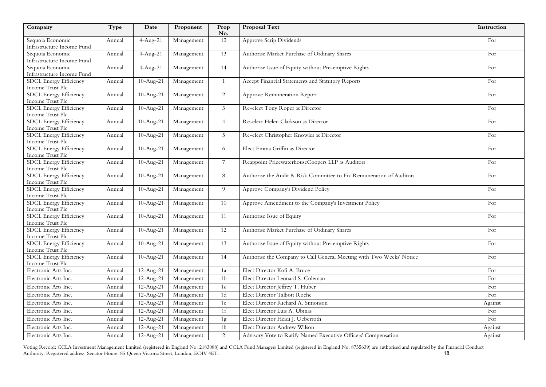| Company                                           | Type   | Date        | Proponent  | Prop<br>No.    | Proposal Text                                                        | Instruction |
|---------------------------------------------------|--------|-------------|------------|----------------|----------------------------------------------------------------------|-------------|
| Sequoia Economic<br>Infrastructure Income Fund    | Annual | $4-Aug-21$  | Management | 12             | Approve Scrip Dividends                                              | For         |
| Sequoia Economic<br>Infrastructure Income Fund    | Annual | $4-Aug-21$  | Management | 13             | Authorise Market Purchase of Ordinary Shares                         | For         |
| Sequoia Economic<br>Infrastructure Income Fund    | Annual | $4-Aug-21$  | Management | 14             | Authorise Issue of Equity without Pre-emptive Rights                 | For         |
| <b>SDCL Energy Efficiency</b><br>Income Trust Plc | Annual | $10-Aug-21$ | Management | $\mathbf{1}$   | Accept Financial Statements and Statutory Reports                    | For         |
| SDCL Energy Efficiency<br>Income Trust Plc        | Annual | $10-Aug-21$ | Management | $\overline{2}$ | Approve Remuneration Report                                          | For         |
| SDCL Energy Efficiency<br>Income Trust Plc        | Annual | $10-Aug-21$ | Management | 3              | Re-elect Tony Roper as Director                                      | For         |
| SDCL Energy Efficiency<br>Income Trust Plc        | Annual | $10-Aug-21$ | Management | $\overline{4}$ | Re-elect Helen Clarkson as Director                                  | For         |
| <b>SDCL Energy Efficiency</b><br>Income Trust Plc | Annual | $10-Aug-21$ | Management | 5              | Re-elect Christopher Knowles as Director                             | For         |
| <b>SDCL Energy Efficiency</b><br>Income Trust Plc | Annual | $10-Aug-21$ | Management | 6              | Elect Emma Griffin as Director                                       | For         |
| <b>SDCL Energy Efficiency</b><br>Income Trust Plc | Annual | $10-Aug-21$ | Management | $\overline{7}$ | Reappoint PricewaterhouseCoopers LLP as Auditors                     | For         |
| <b>SDCL Energy Efficiency</b><br>Income Trust Plc | Annual | $10-Aug-21$ | Management | 8              | Authorise the Audit & Risk Committee to Fix Remuneration of Auditors | For         |
| <b>SDCL Energy Efficiency</b><br>Income Trust Plc | Annual | $10-Aug-21$ | Management | 9              | Approve Company's Dividend Policy                                    | For         |
| <b>SDCL Energy Efficiency</b><br>Income Trust Plc | Annual | $10-Aug-21$ | Management | 10             | Approve Amendment to the Company's Investment Policy                 | For         |
| <b>SDCL Energy Efficiency</b><br>Income Trust Plc | Annual | $10-Aug-21$ | Management | 11             | Authorise Issue of Equity                                            | For         |
| <b>SDCL Energy Efficiency</b><br>Income Trust Plc | Annual | $10-Aug-21$ | Management | 12             | Authorise Market Purchase of Ordinary Shares                         | For         |
| <b>SDCL Energy Efficiency</b><br>Income Trust Plc | Annual | $10-Aug-21$ | Management | 13             | Authorise Issue of Equity without Pre-emptive Rights                 | For         |
| <b>SDCL Energy Efficiency</b><br>Income Trust Plc | Annual | $10-Aug-21$ | Management | 14             | Authorise the Company to Call General Meeting with Two Weeks' Notice | For         |
| Electronic Arts Inc.                              | Annual | $12-Aug-21$ | Management | 1a             | Elect Director Kofi A. Bruce                                         | For         |
| Electronic Arts Inc.                              | Annual | $12-Aug-21$ | Management | 1 <sub>b</sub> | Elect Director Leonard S. Coleman                                    | For         |
| Electronic Arts Inc.                              | Annual | $12-Aug-21$ | Management | 1c             | Elect Director Jeffrey T. Huber                                      | For         |
| Electronic Arts Inc.                              | Annual | $12-Aug-21$ | Management | 1d             | Elect Director Talbott Roche                                         | For         |
| Electronic Arts Inc.                              | Annual | $12-Aug-21$ | Management | 1e             | Elect Director Richard A. Simonson                                   | Against     |
| Electronic Arts Inc.                              | Annual | $12-Aug-21$ | Management | 1f             | Elect Director Luis A. Ubinas                                        | For         |
| Electronic Arts Inc.                              | Annual | $12-Aug-21$ | Management | 1g             | Elect Director Heidi J. Ueberroth                                    | For         |
| Electronic Arts Inc.                              | Annual | $12-Aug-21$ | Management | 1 <sub>h</sub> | Elect Director Andrew Wilson                                         | Against     |
| Electronic Arts Inc.                              | Annual | $12-Aug-21$ | Management | $\overline{c}$ | Advisory Vote to Ratify Named Executive Officers' Compensation       | Against     |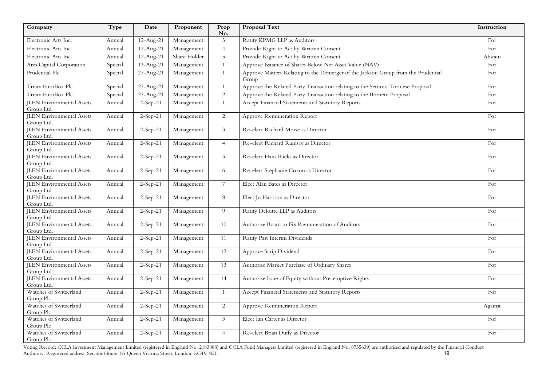| Company                                        | Type    | Date         | Proponent    | Prop<br>No.    | Proposal Text                                                                              | Instruction |
|------------------------------------------------|---------|--------------|--------------|----------------|--------------------------------------------------------------------------------------------|-------------|
| Electronic Arts Inc.                           | Annual  | $12-Aug-21$  | Management   | 3              | Ratify KPMG LLP as Auditors                                                                | For         |
| Electronic Arts Inc.                           | Annual  | $12-Aug-21$  | Management   | $\overline{4}$ | Provide Right to Act by Written Consent                                                    | For         |
| Electronic Arts Inc.                           | Annual  | $12-Aug-21$  | Share Holder | 5 <sup>5</sup> | Provide Right to Act by Written Consent                                                    | Abstain     |
| Ares Capital Corporation                       | Special | $13$ -Aug-21 | Management   | $\mathbf{1}$   | Approve Issuance of Shares Below Net Asset Value (NAV)                                     | For         |
| Prudential Plc                                 | Special | 27-Aug-21    | Management   | $\mathbf{1}$   | Approve Matters Relating to the Demerger of the Jackson Group from the Prudential<br>Group | For         |
| Tritax EuroBox Plc                             | Special | 27-Aug-21    | Management   | $\mathbf{1}$   | Approve the Related Party Transaction relating to the Settimo Torinese Proposal            | For         |
| Tritax EuroBox Plc                             | Special | 27-Aug-21    | Management   | $\sqrt{2}$     | Approve the Related Party Transaction relating to the Bornem Proposal                      | For         |
| <b>JLEN</b> Environmental Assets<br>Group Ltd. | Annual  | $2-Sep-21$   | Management   | 1              | Accept Financial Statements and Statutory Reports                                          | For         |
| <b>JLEN</b> Environmental Assets<br>Group Ltd. | Annual  | $2-Sep-21$   | Management   | 2              | Approve Remuneration Report                                                                | For         |
| <b>JLEN</b> Environmental Assets<br>Group Ltd. | Annual  | $2-Sep-21$   | Management   | $\mathfrak{Z}$ | Re-elect Richard Morse as Director                                                         | For         |
| <b>ILEN</b> Environmental Assets<br>Group Ltd. | Annual  | $2-Sep-21$   | Management   | $\overline{4}$ | Re-elect Richard Ramsay as Director                                                        | For         |
| <b>JLEN</b> Environmental Assets<br>Group Ltd. | Annual  | $2-Sep-21$   | Management   | 5              | Re-elect Hans Rieks as Director                                                            | For         |
| <b>JLEN</b> Environmental Assets<br>Group Ltd. | Annual  | $2-Sep-21$   | Management   | 6              | Re-elect Stephanie Coxon as Director                                                       | For         |
| <b>JLEN</b> Environmental Assets<br>Group Ltd. | Annual  | $2-Sep-21$   | Management   | $7^{\circ}$    | Elect Alan Bates as Director                                                               | For         |
| <b>JLEN</b> Environmental Assets<br>Group Ltd. | Annual  | $2-Sep-21$   | Management   | 8              | Elect Jo Harrison as Director                                                              | For         |
| <b>JLEN</b> Environmental Assets<br>Group Ltd. | Annual  | $2-Sep-21$   | Management   | 9              | Ratify Deloitte LLP as Auditors                                                            | For         |
| <b>JLEN</b> Environmental Assets<br>Group Ltd. | Annual  | $2-Sep-21$   | Management   | 10             | Authorise Board to Fix Remuneration of Auditors                                            | For         |
| <b>JLEN</b> Environmental Assets<br>Group Ltd. | Annual  | $2-Sep-21$   | Management   | 11             | Ratify Past Interim Dividends                                                              | For         |
| <b>JLEN</b> Environmental Assets<br>Group Ltd. | Annual  | $2-Sep-21$   | Management   | 12             | Approve Scrip Dividend                                                                     | For         |
| <b>JLEN</b> Environmental Assets<br>Group Ltd. | Annual  | $2-Sep-21$   | Management   | 13             | Authorise Market Purchase of Ordinary Shares                                               | For         |
| <b>JLEN</b> Environmental Assets<br>Group Ltd. | Annual  | $2-Sep-21$   | Management   | 14             | Authorise Issue of Equity without Pre-emptive Rights                                       | For         |
| Watches of Switzerland<br>Group Plc            | Annual  | $2-Sep-21$   | Management   | 1              | Accept Financial Statements and Statutory Reports                                          | For         |
| Watches of Switzerland<br>Group Plc            | Annual  | $2-Sep-21$   | Management   | 2              | Approve Remuneration Report                                                                | Against     |
| Watches of Switzerland<br>Group Plc            | Annual  | $2-Sep-21$   | Management   | 3              | Elect Ian Carter as Director                                                               | For         |
| Watches of Switzerland<br>Group Plc            | Annual  | $2-Sep-21$   | Management   | $\overline{4}$ | Re-elect Brian Duffy as Director                                                           | For         |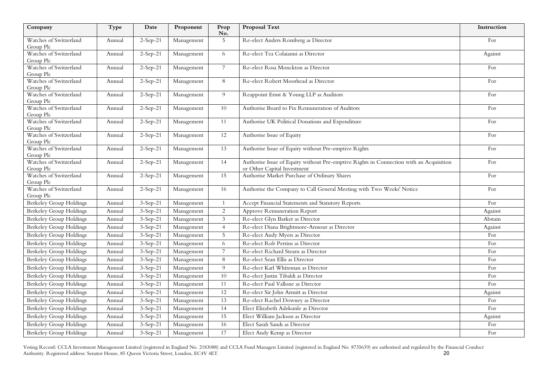| Company                             | Type   | Date       | Proponent  | Prop<br>No.    | Proposal Text                                                                                                         | Instruction |
|-------------------------------------|--------|------------|------------|----------------|-----------------------------------------------------------------------------------------------------------------------|-------------|
| Watches of Switzerland<br>Group Plc | Annual | $2-Sep-21$ | Management | 5              | Re-elect Anders Romberg as Director                                                                                   | For         |
| Watches of Switzerland<br>Group Plc | Annual | $2-Sep-21$ | Management | 6              | Re-elect Tea Colaianni as Director                                                                                    | Against     |
| Watches of Switzerland<br>Group Plc | Annual | $2-Sep-21$ | Management | 7 <sup>7</sup> | Re-elect Rosa Monckton as Director                                                                                    | For         |
| Watches of Switzerland<br>Group Plc | Annual | $2-Sep-21$ | Management | 8              | Re-elect Robert Moorhead as Director                                                                                  | For         |
| Watches of Switzerland<br>Group Plc | Annual | $2-Sep-21$ | Management | 9              | Reappoint Ernst & Young LLP as Auditors                                                                               | For         |
| Watches of Switzerland<br>Group Plc | Annual | $2-Sep-21$ | Management | 10             | Authorise Board to Fix Remuneration of Auditors                                                                       | For         |
| Watches of Switzerland<br>Group Plc | Annual | $2-Sep-21$ | Management | $11\,$         | Authorise UK Political Donations and Expenditure                                                                      | For         |
| Watches of Switzerland<br>Group Plc | Annual | $2-Sep-21$ | Management | 12             | Authorise Issue of Equity                                                                                             | For         |
| Watches of Switzerland<br>Group Plc | Annual | $2-Sep-21$ | Management | 13             | Authorise Issue of Equity without Pre-emptive Rights                                                                  | For         |
| Watches of Switzerland<br>Group Plc | Annual | $2-Sep-21$ | Management | 14             | Authorise Issue of Equity without Pre-emptive Rights in Connection with an Acquisition<br>or Other Capital Investment | For         |
| Watches of Switzerland<br>Group Plc | Annual | $2-Sep-21$ | Management | 15             | Authorise Market Purchase of Ordinary Shares                                                                          | For         |
| Watches of Switzerland<br>Group Plc | Annual | $2-Sep-21$ | Management | 16             | Authorise the Company to Call General Meeting with Two Weeks' Notice                                                  | For         |
| <b>Berkeley Group Holdings</b>      | Annual | $3-Sep-21$ | Management | $\mathbf{1}$   | Accept Financial Statements and Statutory Reports                                                                     | For         |
| <b>Berkeley Group Holdings</b>      | Annual | $3-Sep-21$ | Management | $\overline{c}$ | Approve Remuneration Report                                                                                           | Against     |
| Berkeley Group Holdings             | Annual | $3-Sep-21$ | Management | $\mathfrak{Z}$ | Re-elect Glyn Barker as Director                                                                                      | Abstain     |
| <b>Berkeley Group Holdings</b>      | Annual | 3-Sep-21   | Management | $\overline{4}$ | Re-elect Diana Brightmore-Armour as Director                                                                          | Against     |
| <b>Berkeley Group Holdings</b>      | Annual | $3-Sep-21$ | Management | 5              | Re-elect Andy Myers as Director                                                                                       | For         |
| <b>Berkeley Group Holdings</b>      | Annual | $3-Sep-21$ | Management | 6              | Re-elect Rob Perrins as Director                                                                                      | For         |
| Berkeley Group Holdings             | Annual | $3-Sep-21$ | Management | $\overline{7}$ | Re-elect Richard Stearn as Director                                                                                   | For         |
| <b>Berkeley Group Holdings</b>      | Annual | $3-Sep-21$ | Management | 8              | Re-elect Sean Ellis as Director                                                                                       | For         |
| <b>Berkeley Group Holdings</b>      | Annual | $3-Sep-21$ | Management | 9              | Re-elect Karl Whiteman as Director                                                                                    | For         |
| <b>Berkeley Group Holdings</b>      | Annual | $3-Sep-21$ | Management | 10             | Re-elect Justin Tibaldi as Director                                                                                   | For         |
| <b>Berkeley Group Holdings</b>      | Annual | $3-Sep-21$ | Management | 11             | Re-elect Paul Vallone as Director                                                                                     | For         |
| <b>Berkeley Group Holdings</b>      | Annual | $3-Sep-21$ | Management | 12             | Re-elect Sir John Armitt as Director                                                                                  | Against     |
| <b>Berkeley Group Holdings</b>      | Annual | $3-Sep-21$ | Management | 13             | Re-elect Rachel Downey as Director                                                                                    | For         |
| Berkeley Group Holdings             | Annual | $3-Sep-21$ | Management | 14             | Elect Elizabeth Adekunle as Director                                                                                  | For         |
| <b>Berkeley Group Holdings</b>      | Annual | $3-Sep-21$ | Management | 15             | Elect William Jackson as Director                                                                                     | Against     |
| <b>Berkeley Group Holdings</b>      | Annual | $3-Sep-21$ | Management | 16             | Elect Sarah Sands as Director                                                                                         | For         |
| <b>Berkeley Group Holdings</b>      | Annual | $3-Sep-21$ | Management | 17             | Elect Andy Kemp as Director                                                                                           | For         |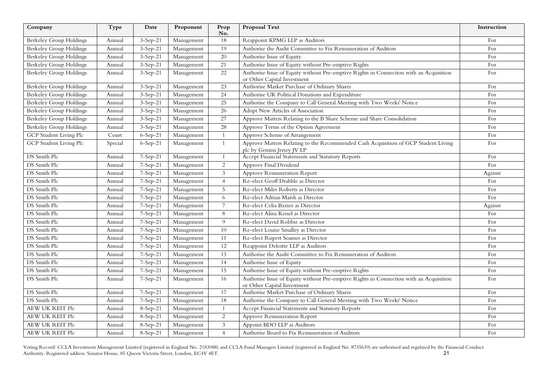| Company                        | Type    | Date       | Proponent  | Prop<br>No.     | <b>Proposal Text</b>                                                                                                  | Instruction |
|--------------------------------|---------|------------|------------|-----------------|-----------------------------------------------------------------------------------------------------------------------|-------------|
| Berkeley Group Holdings        | Annual  | $3-Sep-21$ | Management | 18              | Reappoint KPMG LLP as Auditors                                                                                        | For         |
| Berkeley Group Holdings        | Annual  | $3-Sep-21$ | Management | 19              | Authorise the Audit Committee to Fix Remuneration of Auditors                                                         | For         |
| Berkeley Group Holdings        | Annual  | $3-Sep-21$ | Management | 20              | Authorise Issue of Equity                                                                                             | For         |
| Berkeley Group Holdings        | Annual  | $3-Sep-21$ | Management | 21              | Authorise Issue of Equity without Pre-emptive Rights                                                                  | For         |
| Berkeley Group Holdings        | Annual  | $3-Sep-21$ | Management | 22              | Authorise Issue of Equity without Pre-emptive Rights in Connection with an Acquisition<br>or Other Capital Investment | For         |
| Berkeley Group Holdings        | Annual  | $3-Sep-21$ | Management | 23              | Authorise Market Purchase of Ordinary Shares                                                                          | For         |
| Berkeley Group Holdings        | Annual  | $3-Sep-21$ | Management | 24              | Authorise UK Political Donations and Expenditure                                                                      | For         |
| <b>Berkeley Group Holdings</b> | Annual  | $3-Sep-21$ | Management | $\overline{25}$ | Authorise the Company to Call General Meeting with Two Weeks' Notice                                                  | For         |
| Berkeley Group Holdings        | Annual  | $3-Sep-21$ | Management | 26              | Adopt New Articles of Association                                                                                     | For         |
| Berkeley Group Holdings        | Annual  | $3-Sep-21$ | Management | 27              | Approve Matters Relating to the B Share Scheme and Share Consolidation                                                | For         |
| Berkeley Group Holdings        | Annual  | $3-Sep-21$ | Management | 28              | Approve Terms of the Option Agreement                                                                                 | For         |
| GCP Student Living Plc         | Court   | 6-Sep-21   | Management | 1               | Approve Scheme of Arrangement                                                                                         | For         |
| GCP Student Living Plc         | Special | $6-Sep-21$ | Management | -1              | Approve Matters Relating to the Recommended Cash Acquisition of GCP Student Living<br>plc by Gemini Jersey JV LP      | For         |
| DS Smith Plc                   | Annual  | 7-Sep-21   | Management |                 | Accept Financial Statements and Statutory Reports                                                                     | For         |
| DS Smith Plc                   | Annual  | 7-Sep-21   | Management | 2               | Approve Final Dividend                                                                                                | For         |
| DS Smith Plc                   | Annual  | 7-Sep-21   | Management | $\mathfrak{Z}$  | <b>Approve Remuneration Report</b>                                                                                    | Against     |
| DS Smith Plc                   | Annual  | $7-Sep-21$ | Management | $\overline{4}$  | Re-elect Geoff Drabble as Director                                                                                    | For         |
| DS Smith Plc                   | Annual  | 7-Sep-21   | Management | 5               | Re-elect Miles Roberts as Director                                                                                    | For         |
| DS Smith Plc                   | Annual  | 7-Sep-21   | Management | 6               | Re-elect Adrian Marsh as Director                                                                                     | For         |
| DS Smith Plc                   | Annual  | 7-Sep-21   | Management | $\overline{7}$  | Re-elect Celia Baxter as Director                                                                                     | Against     |
| DS Smith Plc                   | Annual  | 7-Sep-21   | Management | 8               | Re-elect Alina Kessel as Director                                                                                     | For         |
| DS Smith Plc                   | Annual  | 7-Sep-21   | Management | 9               | Re-elect David Robbie as Director                                                                                     | For         |
| DS Smith Plc                   | Annual  | 7-Sep-21   | Management | 10              | Re-elect Louise Smalley as Director                                                                                   | For         |
| DS Smith Plc                   | Annual  | 7-Sep-21   | Management | 11              | Re-elect Rupert Soames as Director                                                                                    | For         |
| DS Smith Plc                   | Annual  | 7-Sep-21   | Management | $12\,$          | Reappoint Deloitte LLP as Auditors                                                                                    | For         |
| DS Smith Plc                   | Annual  | $7-Sep-21$ | Management | 13              | Authorise the Audit Committee to Fix Remuneration of Auditors                                                         | For         |
| DS Smith Plc                   | Annual  | 7-Sep-21   | Management | 14              | Authorise Issue of Equity                                                                                             | For         |
| DS Smith Plc                   | Annual  | 7-Sep-21   | Management | 15              | Authorise Issue of Equity without Pre-emptive Rights                                                                  | For         |
| DS Smith Plc                   | Annual  | 7-Sep-21   | Management | 16              | Authorise Issue of Equity without Pre-emptive Rights in Connection with an Acquisition<br>or Other Capital Investment | For         |
| DS Smith Plc                   | Annual  | 7-Sep-21   | Management | 17              | Authorise Market Purchase of Ordinary Shares                                                                          | For         |
| DS Smith Plc                   | Annual  | 7-Sep-21   | Management | 18              | Authorise the Company to Call General Meeting with Two Weeks' Notice                                                  | For         |
| AEW UK REIT Plc                | Annual  | 8-Sep-21   | Management | $\overline{1}$  | Accept Financial Statements and Statutory Reports                                                                     | For         |
| <b>AEW UK REIT Plc</b>         | Annual  | $8-Sep-21$ | Management | 2               | Approve Remuneration Report                                                                                           | For         |
| AEW UK REIT Plc                | Annual  | 8-Sep-21   | Management | 3               | Appoint BDO LLP as Auditors                                                                                           | For         |
| AEW UK REIT Plc                | Annual  | 8-Sep-21   | Management | $\overline{4}$  | Authorise Board to Fix Remuneration of Auditors                                                                       | For         |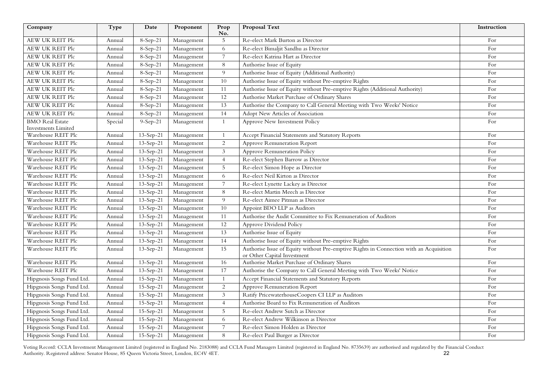| Company                    | Type    | Date            | Proponent  | Prop<br>No.    | <b>Proposal Text</b>                                                                                                  | Instruction |
|----------------------------|---------|-----------------|------------|----------------|-----------------------------------------------------------------------------------------------------------------------|-------------|
| AEW UK REIT Plc            | Annual  | 8-Sep-21        | Management | 5              | Re-elect Mark Burton as Director                                                                                      | For         |
| AEW UK REIT Plc            | Annual  | $8-Sep-21$      | Management | 6              | Re-elect Bimaljit Sandhu as Director                                                                                  | For         |
| <b>AEW UK REIT Plc</b>     | Annual  | 8-Sep-21        | Management | $\overline{7}$ | Re-elect Katrina Hart as Director                                                                                     | For         |
| AEW UK REIT Plc            | Annual  | 8-Sep-21        | Management | 8              | Authorise Issue of Equity                                                                                             | For         |
| AEW UK REIT Plc            | Annual  | $8-Sep-21$      | Management | 9              | Authorise Issue of Equity (Additional Authority)                                                                      | For         |
| <b>AEW UK REIT Plc</b>     | Annual  | 8-Sep-21        | Management | 10             | Authorise Issue of Equity without Pre-emptive Rights                                                                  | For         |
| <b>AEW UK REIT Plc</b>     | Annual  | 8-Sep-21        | Management | 11             | Authorise Issue of Equity without Pre-emptive Rights (Additional Authority)                                           | For         |
| AEW UK REIT Plc            | Annual  | 8-Sep-21        | Management | 12             | Authorise Market Purchase of Ordinary Shares                                                                          | For         |
| <b>AEW UK REIT Plc</b>     | Annual  | 8-Sep-21        | Management | 13             | Authorise the Company to Call General Meeting with Two Weeks' Notice                                                  | For         |
| AEW UK REIT Plc            | Annual  | 8-Sep-21        | Management | 14             | Adopt New Articles of Association                                                                                     | For         |
| <b>BMO</b> Real Estate     | Special | $9-Sep-21$      | Management | $\mathbf{1}$   | Approve New Investment Policy                                                                                         | For         |
| <b>Investments Limited</b> |         |                 |            |                |                                                                                                                       |             |
| Warehouse REIT Plc         | Annual  | 13-Sep-21       | Management |                | Accept Financial Statements and Statutory Reports                                                                     | For         |
| Warehouse REIT Plc         | Annual  | 13-Sep-21       | Management | $\overline{2}$ | Approve Remuneration Report                                                                                           | For         |
| Warehouse REIT Plc         | Annual  | $13 - Sep - 21$ | Management | 3              | Approve Remuneration Policy                                                                                           | For         |
| Warehouse REIT Plc         | Annual  | $13 - Sep - 21$ | Management | $\overline{4}$ | Re-elect Stephen Barrow as Director                                                                                   | For         |
| Warehouse REIT Plc         | Annual  | 13-Sep-21       | Management | 5              | Re-elect Simon Hope as Director                                                                                       | For         |
| Warehouse REIT Plc         | Annual  | $13 - Sep - 21$ | Management | 6              | Re-elect Neil Kirton as Director                                                                                      | For         |
| Warehouse REIT Plc         | Annual  | $13 - Sep - 21$ | Management | $\overline{7}$ | Re-elect Lynette Lackey as Director                                                                                   | For         |
| Warehouse REIT Plc         | Annual  | 13-Sep-21       | Management | 8              | Re-elect Martin Meech as Director                                                                                     | For         |
| Warehouse REIT Plc         | Annual  | $13 - Sep - 21$ | Management | 9              | Re-elect Aimee Pitman as Director                                                                                     | For         |
| Warehouse REIT Plc         | Annual  | 13-Sep-21       | Management | 10             | Appoint BDO LLP as Auditors                                                                                           | For         |
| Warehouse REIT Plc         | Annual  | 13-Sep-21       | Management | 11             | Authorise the Audit Committee to Fix Remuneration of Auditors                                                         | For         |
| Warehouse REIT Plc         | Annual  | $13 - Sep - 21$ | Management | 12             | Approve Dividend Policy                                                                                               | For         |
| Warehouse REIT Plc         | Annual  | $13 - Sep - 21$ | Management | 13             | Authorise Issue of Equity                                                                                             | For         |
| Warehouse REIT Plc         | Annual  | 13-Sep-21       | Management | 14             | Authorise Issue of Equity without Pre-emptive Rights                                                                  | For         |
| Warehouse REIT Plc         | Annual  | $13 - Sep - 21$ | Management | 15             | Authorise Issue of Equity without Pre-emptive Rights in Connection with an Acquisition<br>or Other Capital Investment | For         |
| Warehouse REIT Plc         | Annual  | 13-Sep-21       | Management | 16             | Authorise Market Purchase of Ordinary Shares                                                                          | For         |
| Warehouse REIT Plc         | Annual  | $13 - Sep - 21$ | Management | 17             | Authorise the Company to Call General Meeting with Two Weeks' Notice                                                  | For         |
| Hipgnosis Songs Fund Ltd.  | Annual  | $15-Sep-21$     | Management | $\mathbf{1}$   | Accept Financial Statements and Statutory Reports                                                                     | For         |
| Hipgnosis Songs Fund Ltd.  | Annual  | $15-Sep-21$     | Management | $\overline{2}$ | Approve Remuneration Report                                                                                           | For         |
| Hipgnosis Songs Fund Ltd.  | Annual  | 15-Sep-21       | Management | 3              | Ratify PricewaterhouseCoopers CI LLP as Auditors                                                                      | For         |
| Hipgnosis Songs Fund Ltd.  | Annual  | $15-Sep-21$     | Management | $\overline{4}$ | Authorise Board to Fix Remuneration of Auditors                                                                       | For         |
| Hipgnosis Songs Fund Ltd.  | Annual  | $15-Sep-21$     | Management | 5              | Re-elect Andrew Sutch as Director                                                                                     | For         |
| Hipgnosis Songs Fund Ltd.  | Annual  | 15-Sep-21       | Management | 6              | Re-elect Andrew Wilkinson as Director                                                                                 | For         |
| Hipgnosis Songs Fund Ltd.  | Annual  | 15-Sep-21       | Management | $\overline{7}$ | Re-elect Simon Holden as Director                                                                                     | For         |
| Hipgnosis Songs Fund Ltd.  | Annual  | 15-Sep-21       | Management | 8              | Re-elect Paul Burger as Director                                                                                      | For         |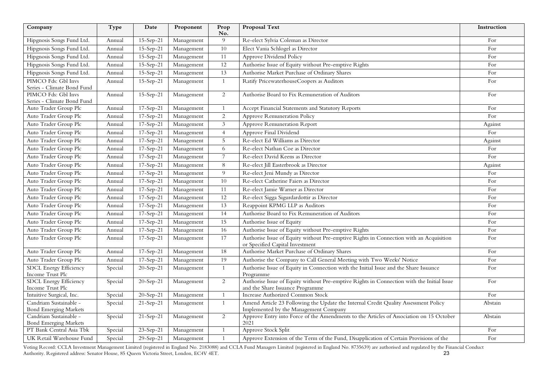| Company                                                | Type    | Date            | Proponent  | Prop<br>No.    | <b>Proposal Text</b>                                                                                                          | Instruction |
|--------------------------------------------------------|---------|-----------------|------------|----------------|-------------------------------------------------------------------------------------------------------------------------------|-------------|
| Hipgnosis Songs Fund Ltd.                              | Annual  | $15-Sep-21$     | Management | 9              | Re-elect Sylvia Coleman as Director                                                                                           | For         |
| Hipgnosis Songs Fund Ltd.                              | Annual  | $15-Sep-21$     | Management | 10             | Elect Vania Schlogel as Director                                                                                              | For         |
| Hipgnosis Songs Fund Ltd.                              | Annual  | 15-Sep-21       | Management | 11             | Approve Dividend Policy                                                                                                       | For         |
| Hipgnosis Songs Fund Ltd.                              | Annual  | 15-Sep-21       | Management | 12             | Authorise Issue of Equity without Pre-emptive Rights                                                                          | For         |
| Hipgnosis Songs Fund Ltd.                              | Annual  | $15-Sep-21$     | Management | 13             | Authorise Market Purchase of Ordinary Shares                                                                                  | For         |
| PIMCO Fds: Gbl Invs<br>Series - Climate Bond Fund      | Annual  | $15 - Sep - 21$ | Management | 1              | Ratify PricewaterhouseCoopers as Auditors                                                                                     | For         |
| PIMCO Fds: Gbl Invs<br>Series - Climate Bond Fund      | Annual  | 15-Sep-21       | Management | $\overline{2}$ | Authorise Board to Fix Remuneration of Auditors                                                                               | For         |
| Auto Trader Group Plc                                  | Annual  | 17-Sep-21       | Management |                | Accept Financial Statements and Statutory Reports                                                                             | For         |
| Auto Trader Group Plc                                  | Annual  | 17-Sep-21       | Management | 2              | Approve Remuneration Policy                                                                                                   | For         |
| Auto Trader Group Plc                                  | Annual  | 17-Sep-21       | Management | 3              | Approve Remuneration Report                                                                                                   | Against     |
| Auto Trader Group Plc                                  | Annual  | 17-Sep-21       | Management | $\overline{4}$ | Approve Final Dividend                                                                                                        | For         |
| Auto Trader Group Plc                                  | Annual  | 17-Sep-21       | Management | 5              | Re-elect Ed Williams as Director                                                                                              | Against     |
| Auto Trader Group Plc                                  | Annual  | $17-Sep-21$     | Management | 6              | Re-elect Nathan Coe as Director                                                                                               | For         |
| Auto Trader Group Plc                                  | Annual  | $17-Sep-21$     | Management | $\overline{7}$ | Re-elect David Keens as Director                                                                                              | For         |
| Auto Trader Group Plc                                  | Annual  | $17-Sep-21$     | Management | 8              | Re-elect Jill Easterbrook as Director                                                                                         | Against     |
| Auto Trader Group Plc                                  | Annual  | 17-Sep-21       | Management | 9              | Re-elect Jeni Mundy as Director                                                                                               | For         |
| Auto Trader Group Plc                                  | Annual  | $17-Sep-21$     | Management | 10             | Re-elect Catherine Faiers as Director                                                                                         | For         |
| Auto Trader Group Plc                                  | Annual  | $17-Sep-21$     | Management | 11             | Re-elect Jamie Warner as Director                                                                                             | For         |
| Auto Trader Group Plc                                  | Annual  | 17-Sep-21       | Management | 12             | Re-elect Sigga Sigurdardottir as Director                                                                                     | For         |
| Auto Trader Group Plc                                  | Annual  | 17-Sep-21       | Management | 13             | Reappoint KPMG LLP as Auditors                                                                                                | For         |
| Auto Trader Group Plc                                  | Annual  | 17-Sep-21       | Management | 14             | Authorise Board to Fix Remuneration of Auditors                                                                               | For         |
| Auto Trader Group Plc                                  | Annual  | 17-Sep-21       | Management | 15             | Authorise Issue of Equity                                                                                                     | For         |
| Auto Trader Group Plc                                  | Annual  | 17-Sep-21       | Management | 16             | Authorise Issue of Equity without Pre-emptive Rights                                                                          | For         |
| Auto Trader Group Plc                                  | Annual  | 17-Sep-21       | Management | 17             | Authorise Issue of Equity without Pre-emptive Rights in Connection with an Acquisition<br>or Specified Capital Investment     | For         |
| Auto Trader Group Plc                                  | Annual  | 17-Sep-21       | Management | 18             | Authorise Market Purchase of Ordinary Shares                                                                                  | For         |
| Auto Trader Group Plc                                  | Annual  | 17-Sep-21       | Management | 19             | Authorise the Company to Call General Meeting with Two Weeks' Notice                                                          | For         |
| SDCL Energy Efficiency<br>Income Trust Plc             | Special | 20-Sep-21       | Management | 1              | Authorise Issue of Equity in Connection with the Initial Issue and the Share Issuance<br>Programme                            | For         |
| SDCL Energy Efficiency<br>Income Trust Plc             | Special | 20-Sep-21       | Management | 2              | Authorise Issue of Equity without Pre-emptive Rights in Connection with the Initial Issue<br>and the Share Issuance Programme | For         |
| Intuitive Surgical, Inc.                               | Special | 20-Sep-21       | Management | 1              | Increase Authorized Common Stock                                                                                              | For         |
| Candriam Sustainable -<br><b>Bond Emerging Markets</b> | Special | $21-Sep-21$     | Management | 1              | Amend Article 23 Following the Update the Internal Credit Quality Assessment Policy<br>Implemented by the Management Company  | Abstain     |
| Candriam Sustainable -<br><b>Bond Emerging Markets</b> | Special | 21-Sep-21       | Management | $\overline{2}$ | Approve Entry into Force of the Amendments to the Articles of Association on 15 October<br>2021                               | Abstain     |
| PT Bank Central Asia Tbk                               | Special | $23 - Sep - 21$ | Management |                | Approve Stock Split                                                                                                           | For         |
| UK Retail Warehouse Fund                               | Special | 29-Sep-21       | Management | 1              | Approve Extension of the Term of the Fund, Disapplication of Certain Provisions of the                                        | For         |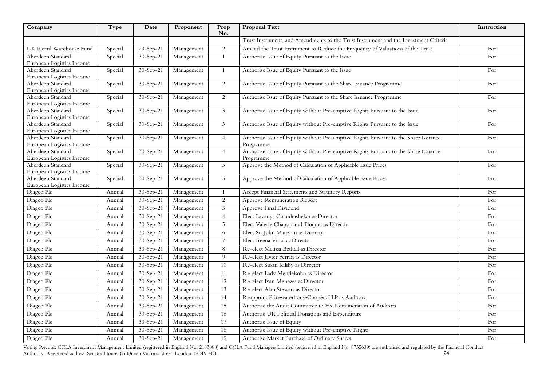| Company                                        | Type    | Date        | Proponent  | Prop<br>No.    | <b>Proposal Text</b>                                                                 | Instruction |
|------------------------------------------------|---------|-------------|------------|----------------|--------------------------------------------------------------------------------------|-------------|
|                                                |         |             |            |                | Trust Instrument, and Amendments to the Trust Instrument and the Investment Criteria |             |
| UK Retail Warehouse Fund                       | Special | 29-Sep-21   | Management | 2              | Amend the Trust Instrument to Reduce the Frequency of Valuations of the Trust        | For         |
| Aberdeen Standard                              | Special | 30-Sep-21   | Management | $\mathbf{1}$   | Authorise Issue of Equity Pursuant to the Issue                                      | For         |
| European Logistics Income                      |         |             |            |                |                                                                                      |             |
| Aberdeen Standard                              | Special | 30-Sep-21   | Management | $\mathbf{1}$   | Authorise Issue of Equity Pursuant to the Issue                                      | For         |
| European Logistics Income                      |         |             |            |                |                                                                                      |             |
| Aberdeen Standard                              | Special | 30-Sep-21   | Management | $\overline{2}$ | Authorise Issue of Equity Pursuant to the Share Issuance Programme                   | For         |
| European Logistics Income<br>Aberdeen Standard |         |             |            | 2              |                                                                                      | For         |
| European Logistics Income                      | Special | 30-Sep-21   | Management |                | Authorise Issue of Equity Pursuant to the Share Issuance Programme                   |             |
| Aberdeen Standard                              | Special | 30-Sep-21   | Management | 3 <sup>7</sup> | Authorise Issue of Equity without Pre-emptive Rights Pursuant to the Issue           | For         |
| European Logistics Income                      |         |             |            |                |                                                                                      |             |
| Aberdeen Standard                              | Special | $30-Sep-21$ | Management | 3 <sup>1</sup> | Authorise Issue of Equity without Pre-emptive Rights Pursuant to the Issue           | For         |
| European Logistics Income                      |         |             |            |                |                                                                                      |             |
| Aberdeen Standard                              | Special | 30-Sep-21   | Management | $\overline{4}$ | Authorise Issue of Equity without Pre-emptive Rights Pursuant to the Share Issuance  | For         |
| European Logistics Income                      |         |             |            |                | Programme                                                                            |             |
| Aberdeen Standard<br>European Logistics Income | Special | 30-Sep-21   | Management | $\overline{4}$ | Authorise Issue of Equity without Pre-emptive Rights Pursuant to the Share Issuance  | For         |
| Aberdeen Standard                              | Special | 30-Sep-21   | Management | 5              | Programme<br>Approve the Method of Calculation of Applicable Issue Prices            | For         |
| European Logistics Income                      |         |             |            |                |                                                                                      |             |
| Aberdeen Standard                              | Special | 30-Sep-21   | Management | 5 <sup>5</sup> | Approve the Method of Calculation of Applicable Issue Prices                         | For         |
| European Logistics Income                      |         |             |            |                |                                                                                      |             |
| Diageo Plc                                     | Annual  | 30-Sep-21   | Management | $\mathbf{1}$   | Accept Financial Statements and Statutory Reports                                    | For         |
| Diageo Plc                                     | Annual  | 30-Sep-21   | Management | 2              | Approve Remuneration Report                                                          | For         |
| Diageo Plc                                     | Annual  | 30-Sep-21   | Management | $\mathfrak{Z}$ | Approve Final Dividend                                                               | For         |
| Diageo Plc                                     | Annual  | $30-Sep-21$ | Management | $\overline{4}$ | Elect Lavanya Chandrashekar as Director                                              | For         |
| Diageo Plc                                     | Annual  | 30-Sep-21   | Management | 5              | Elect Valerie Chapoulaud-Floquet as Director                                         | For         |
| Diageo Plc                                     | Annual  | 30-Sep-21   | Management | 6              | Elect Sir John Manzoni as Director                                                   | For         |
| Diageo Plc                                     | Annual  | 30-Sep-21   | Management | $\overline{7}$ | Elect Ireena Vittal as Director                                                      | For         |
| Diageo Plc                                     | Annual  | 30-Sep-21   | Management | 8              | Re-elect Melissa Bethell as Director                                                 | For         |
| Diageo Plc                                     | Annual  | 30-Sep-21   | Management | 9              | Re-elect Javier Ferran as Director                                                   | For         |
| Diageo Plc                                     | Annual  | 30-Sep-21   | Management | 10             | Re-elect Susan Kilsby as Director                                                    | For         |
| Diageo Plc                                     | Annual  | 30-Sep-21   | Management | 11             | Re-elect Lady Mendelsohn as Director                                                 | For         |
| Diageo Plc                                     | Annual  | 30-Sep-21   | Management | 12             | Re-elect Ivan Menezes as Director                                                    | For         |
| Diageo Plc                                     | Annual  | 30-Sep-21   | Management | 13             | Re-elect Alan Stewart as Director                                                    | For         |
| Diageo Plc                                     | Annual  | 30-Sep-21   | Management | 14             | Reappoint PricewaterhouseCoopers LLP as Auditors                                     | For         |
| Diageo Plc                                     | Annual  | 30-Sep-21   | Management | 15             | Authorise the Audit Committee to Fix Remuneration of Auditors                        | For         |
| Diageo Plc                                     | Annual  | 30-Sep-21   | Management | 16             | Authorise UK Political Donations and Expenditure                                     | For         |
| Diageo Plc                                     | Annual  | 30-Sep-21   | Management | 17             | Authorise Issue of Equity                                                            | For         |
| Diageo Plc                                     | Annual  | 30-Sep-21   | Management | 18             | Authorise Issue of Equity without Pre-emptive Rights                                 | For         |
| Diageo Plc                                     | Annual  | 30-Sep-21   | Management | 19             | Authorise Market Purchase of Ordinary Shares                                         | For         |